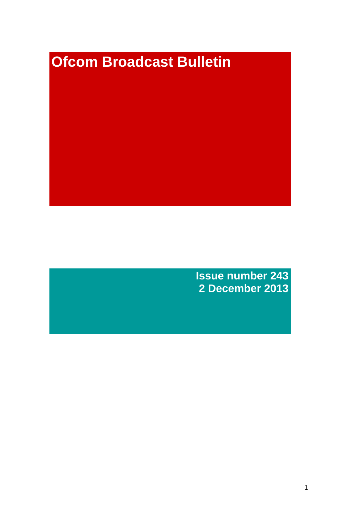# **Ofcom Broadcast Bulletin**

**Issue number 243 2 December 2013**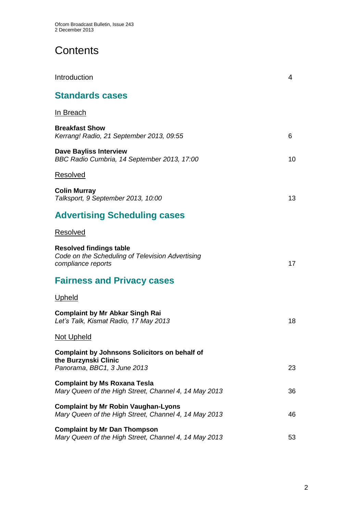# **Contents**

| Introduction                                                                                                | 4  |
|-------------------------------------------------------------------------------------------------------------|----|
| <b>Standards cases</b>                                                                                      |    |
| In Breach                                                                                                   |    |
| <b>Breakfast Show</b><br>Kerrang! Radio, 21 September 2013, 09:55                                           | 6  |
| <b>Dave Bayliss Interview</b><br>BBC Radio Cumbria, 14 September 2013, 17:00                                | 10 |
| <b>Resolved</b>                                                                                             |    |
| <b>Colin Murray</b><br>Talksport, 9 September 2013, 10:00                                                   | 13 |
| <b>Advertising Scheduling cases</b>                                                                         |    |
| <b>Resolved</b>                                                                                             |    |
| <b>Resolved findings table</b><br>Code on the Scheduling of Television Advertising<br>compliance reports    | 17 |
| <b>Fairness and Privacy cases</b>                                                                           |    |
| <u>Upheld</u>                                                                                               |    |
| <b>Complaint by Mr Abkar Singh Rai</b><br>Let's Talk, Kismat Radio, 17 May 2013                             | 18 |
| <u>Not Upheld</u>                                                                                           |    |
| <b>Complaint by Johnsons Solicitors on behalf of</b><br>the Burzynski Clinic<br>Panorama, BBC1, 3 June 2013 | 23 |
| <b>Complaint by Ms Roxana Tesla</b><br>Mary Queen of the High Street, Channel 4, 14 May 2013                | 36 |
| <b>Complaint by Mr Robin Vaughan-Lyons</b><br>Mary Queen of the High Street, Channel 4, 14 May 2013         | 46 |
| <b>Complaint by Mr Dan Thompson</b><br>Mary Queen of the High Street, Channel 4, 14 May 2013                | 53 |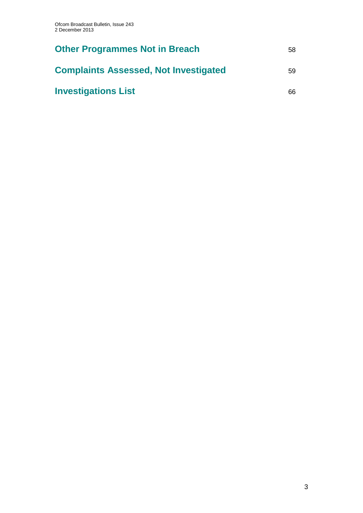| <b>Other Programmes Not in Breach</b>        | 58 |
|----------------------------------------------|----|
| <b>Complaints Assessed, Not Investigated</b> | 59 |
| <b>Investigations List</b>                   | 66 |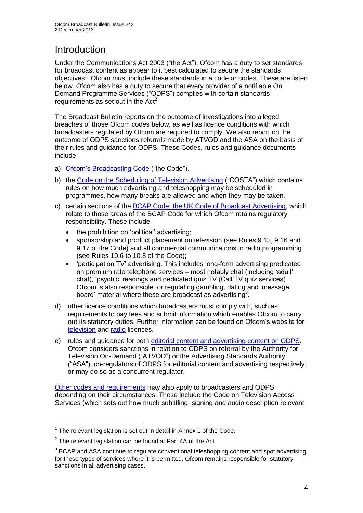# Introduction

Under the Communications Act 2003 ("the Act"), Ofcom has a duty to set standards for broadcast content as appear to it best calculated to secure the standards objectives<sup>1</sup>. Ofcom must include these standards in a code or codes. These are listed below. Ofcom also has a duty to secure that every provider of a notifiable On Demand Programme Services ("ODPS") complies with certain standards requirements as set out in the  $Act<sup>2</sup>$ .

The Broadcast Bulletin reports on the outcome of investigations into alleged breaches of those Ofcom codes below, as well as licence conditions with which broadcasters regulated by Ofcom are required to comply. We also report on the outcome of ODPS sanctions referrals made by ATVOD and the ASA on the basis of their rules and guidance for ODPS. These Codes, rules and guidance documents include:

- a) [Ofcom's Broadcasting Code](http://stakeholders.ofcom.org.uk/broadcasting/broadcast-codes/broadcast-code/) ("the Code").
- b) the [Code on the Scheduling of Television Advertising](http://stakeholders.ofcom.org.uk/broadcasting/broadcast-codes/advert-code/) ("COSTA") which contains rules on how much advertising and teleshopping may be scheduled in programmes, how many breaks are allowed and when they may be taken.
- c) certain sections of the [BCAP Code: the UK Code of Broadcast Advertising,](http://www.bcap.org.uk/Advertising-Codes/Broadcast-HTML.aspx) which relate to those areas of the BCAP Code for which Ofcom retains regulatory responsibility. These include:
	- the prohibition on 'political' advertising:
	- sponsorship and product placement on television (see Rules 9.13, 9.16 and 9.17 of the Code) and all commercial communications in radio programming (see Rules 10.6 to 10.8 of the Code);
	- 'participation TV' advertising. This includes long-form advertising predicated on premium rate telephone services – most notably chat (including 'adult' chat), 'psychic' readings and dedicated quiz TV (Call TV quiz services). Ofcom is also responsible for regulating gambling, dating and 'message board' material where these are broadcast as advertising<sup>3</sup>.
- d) other licence conditions which broadcasters must comply with, such as requirements to pay fees and submit information which enables Ofcom to carry out its statutory duties. Further information can be found on Ofcom's website for [television](http://licensing.ofcom.org.uk/tv-broadcast-licences/) and [radio](http://licensing.ofcom.org.uk/radio-broadcast-licensing/) licences.
- e) rules and guidance for both [editorial content and advertising content on ODPS.](http://www.atvod.co.uk/uploads/files/ATVOD_Rules_and_Guidance_Ed_2.0_May_2012.pdf) Ofcom considers sanctions in relation to ODPS on referral by the Authority for Television On-Demand ("ATVOD") or the Advertising Standards Authority ("ASA"), co-regulators of ODPS for editorial content and advertising respectively, or may do so as a concurrent regulator.

[Other codes and requirements](http://stakeholders.ofcom.org.uk/broadcasting/broadcast-codes/) may also apply to broadcasters and ODPS, depending on their circumstances. These include the Code on Television Access Services (which sets out how much subtitling, signing and audio description relevant

<sup>1</sup>  $1$  The relevant legislation is set out in detail in Annex 1 of the Code.

 $2$  The relevant legislation can be found at Part 4A of the Act.

 $3$  BCAP and ASA continue to regulate conventional teleshopping content and spot advertising for these types of services where it is permitted. Ofcom remains responsible for statutory sanctions in all advertising cases.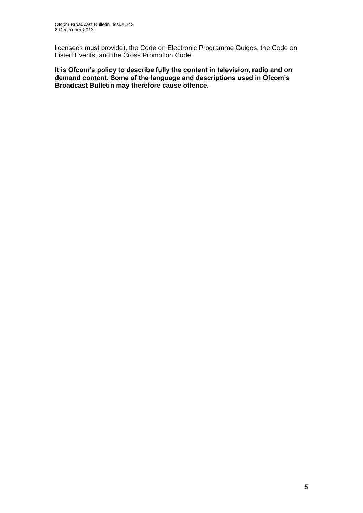licensees must provide), the Code on Electronic Programme Guides, the Code on Listed Events, and the Cross Promotion Code.

**It is Ofcom's policy to describe fully the content in television, radio and on demand content. Some of the language and descriptions used in Ofcom's Broadcast Bulletin may therefore cause offence.**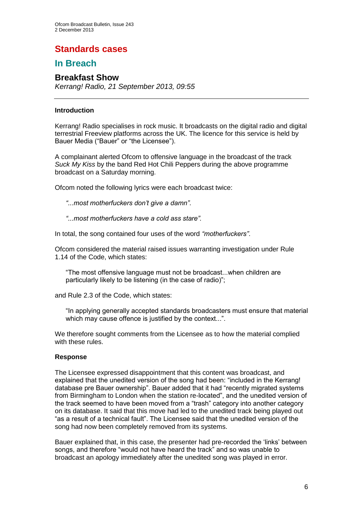# **Standards cases**

## **In Breach**

### **Breakfast Show**

*Kerrang! Radio, 21 September 2013, 09:55*

#### **Introduction**

Kerrang! Radio specialises in rock music. It broadcasts on the digital radio and digital terrestrial Freeview platforms across the UK. The licence for this service is held by Bauer Media ("Bauer" or "the Licensee").

A complainant alerted Ofcom to offensive language in the broadcast of the track *Suck My Kiss* by the band Red Hot Chili Peppers during the above programme broadcast on a Saturday morning.

Ofcom noted the following lyrics were each broadcast twice:

- *"...most motherfuckers don't give a damn"*.
- *"...most motherfuckers have a cold ass stare".*

In total, the song contained four uses of the word *"motherfuckers"*.

Ofcom considered the material raised issues warranting investigation under Rule 1.14 of the Code, which states:

"The most offensive language must not be broadcast...when children are particularly likely to be listening (in the case of radio)";

and Rule 2.3 of the Code, which states:

"In applying generally accepted standards broadcasters must ensure that material which may cause offence is justified by the context...".

We therefore sought comments from the Licensee as to how the material complied with these rules.

#### **Response**

The Licensee expressed disappointment that this content was broadcast, and explained that the unedited version of the song had been: "included in the Kerrang! database pre Bauer ownership". Bauer added that it had "recently migrated systems from Birmingham to London when the station re-located", and the unedited version of the track seemed to have been moved from a "trash" category into another category on its database. It said that this move had led to the unedited track being played out "as a result of a technical fault". The Licensee said that the unedited version of the song had now been completely removed from its systems.

Bauer explained that, in this case, the presenter had pre-recorded the 'links' between songs, and therefore "would not have heard the track" and so was unable to broadcast an apology immediately after the unedited song was played in error.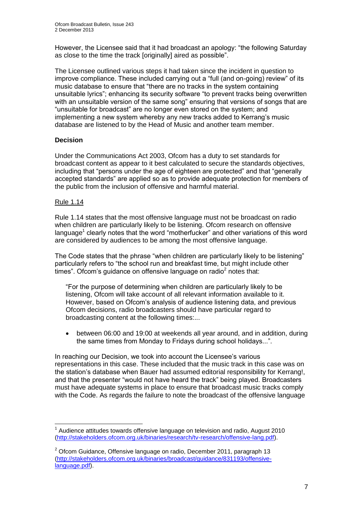However, the Licensee said that it had broadcast an apology: "the following Saturday as close to the time the track [originally] aired as possible".

The Licensee outlined various steps it had taken since the incident in question to improve compliance. These included carrying out a "full (and on-going) review" of its music database to ensure that "there are no tracks in the system containing unsuitable lyrics"; enhancing its security software "to prevent tracks being overwritten with an unsuitable version of the same song" ensuring that versions of songs that are "unsuitable for broadcast" are no longer even stored on the system; and implementing a new system whereby any new tracks added to Kerrang's music database are listened to by the Head of Music and another team member.

#### **Decision**

Under the Communications Act 2003, Ofcom has a duty to set standards for broadcast content as appear to it best calculated to secure the standards objectives, including that "persons under the age of eighteen are protected" and that "generally accepted standards" are applied so as to provide adequate protection for members of the public from the inclusion of offensive and harmful material.

#### Rule 1.14

1

Rule 1.14 states that the most offensive language must not be broadcast on radio when children are particularly likely to be listening. Ofcom research on offensive language<sup>1</sup> clearly notes that the word "motherfucker" and other variations of this word are considered by audiences to be among the most offensive language.

The Code states that the phrase "when children are particularly likely to be listening" particularly refers to "the school run and breakfast time, but might include other times". Ofcom's guidance on offensive language on radio $2$  notes that:

"For the purpose of determining when children are particularly likely to be listening, Ofcom will take account of all relevant information available to it. However, based on Ofcom's analysis of audience listening data, and previous Ofcom decisions, radio broadcasters should have particular regard to broadcasting content at the following times:...

 between 06:00 and 19:00 at weekends all year around, and in addition, during the same times from Monday to Fridays during school holidays...".

In reaching our Decision, we took into account the Licensee's various representations in this case. These included that the music track in this case was on the station's database when Bauer had assumed editorial responsibility for Kerrang!, and that the presenter "would not have heard the track" being played. Broadcasters must have adequate systems in place to ensure that broadcast music tracks comply with the Code. As regards the failure to note the broadcast of the offensive language

 $1$  Audience attitudes towards offensive language on television and radio, August 2010 [\(http://stakeholders.ofcom.org.uk/binaries/research/tv-research/offensive-lang.pdf\)](http://stakeholders.ofcom.org.uk/binaries/research/tv-research/offensive-lang.pdf).

 $2$  Ofcom Guidance. Offensive language on radio, December 2011, paragraph 13 [\(http://stakeholders.ofcom.org.uk/binaries/broadcast/guidance/831193/offensive](http://stakeholders.ofcom.org.uk/binaries/broadcast/guidance/831193/offensive-language.pdf)[language.pdf\)](http://stakeholders.ofcom.org.uk/binaries/broadcast/guidance/831193/offensive-language.pdf).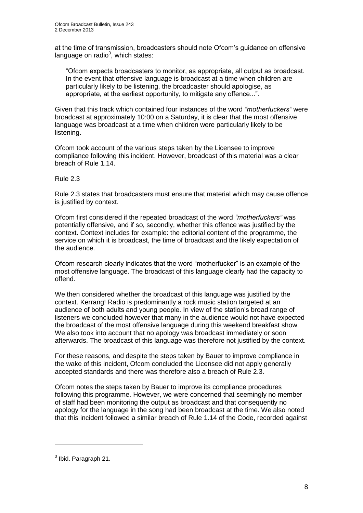at the time of transmission, broadcasters should note Ofcom's guidance on offensive language on radio<sup>3</sup>, which states:

"Ofcom expects broadcasters to monitor, as appropriate, all output as broadcast. In the event that offensive language is broadcast at a time when children are particularly likely to be listening, the broadcaster should apologise, as appropriate, at the earliest opportunity, to mitigate any offence...".

Given that this track which contained four instances of the word *"motherfuckers"* were broadcast at approximately 10:00 on a Saturday, it is clear that the most offensive language was broadcast at a time when children were particularly likely to be listening.

Ofcom took account of the various steps taken by the Licensee to improve compliance following this incident. However, broadcast of this material was a clear breach of Rule 1.14.

#### Rule 2.3

Rule 2.3 states that broadcasters must ensure that material which may cause offence is justified by context.

Ofcom first considered if the repeated broadcast of the word *"motherfuckers"* was potentially offensive, and if so, secondly, whether this offence was justified by the context. Context includes for example: the editorial content of the programme, the service on which it is broadcast, the time of broadcast and the likely expectation of the audience.

Ofcom research clearly indicates that the word "motherfucker" is an example of the most offensive language. The broadcast of this language clearly had the capacity to offend.

We then considered whether the broadcast of this language was justified by the context. Kerrang! Radio is predominantly a rock music station targeted at an audience of both adults and young people. In view of the station's broad range of listeners we concluded however that many in the audience would not have expected the broadcast of the most offensive language during this weekend breakfast show. We also took into account that no apology was broadcast immediately or soon afterwards. The broadcast of this language was therefore not justified by the context.

For these reasons, and despite the steps taken by Bauer to improve compliance in the wake of this incident, Ofcom concluded the Licensee did not apply generally accepted standards and there was therefore also a breach of Rule 2.3.

Ofcom notes the steps taken by Bauer to improve its compliance procedures following this programme. However, we were concerned that seemingly no member of staff had been monitoring the output as broadcast and that consequently no apology for the language in the song had been broadcast at the time. We also noted that this incident followed a similar breach of Rule 1.14 of the Code, recorded against

1

 $3$  lbid. Paragraph 21.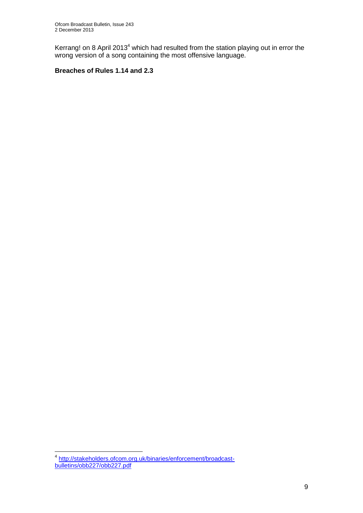Kerrang! on 8 April 2013<sup>4</sup> which had resulted from the station playing out in error the wrong version of a song containing the most offensive language.

#### **Breaches of Rules 1.14 and 2.3**

 4 [http://stakeholders.ofcom.org.uk/binaries/enforcement/broadcast](http://stakeholders.ofcom.org.uk/binaries/enforcement/broadcast-bulletins/obb227/obb227.pdf)[bulletins/obb227/obb227.pdf](http://stakeholders.ofcom.org.uk/binaries/enforcement/broadcast-bulletins/obb227/obb227.pdf)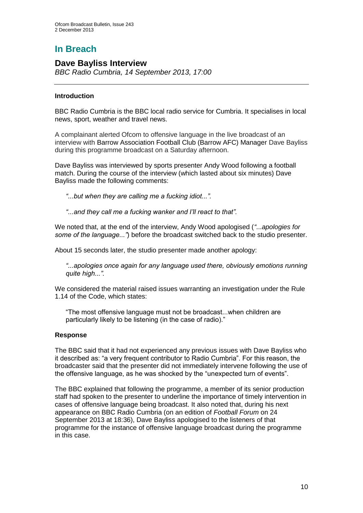# **In Breach**

#### **Dave Bayliss Interview**

*BBC Radio Cumbria, 14 September 2013, 17:00*

#### **Introduction**

BBC Radio Cumbria is the BBC local radio service for Cumbria. It specialises in local news, sport, weather and travel news.

A complainant alerted Ofcom to offensive language in the live broadcast of an interview with Barrow Association Football Club (Barrow AFC) Manager Dave Bayliss during this programme broadcast on a Saturday afternoon.

Dave Bayliss was interviewed by sports presenter Andy Wood following a football match. During the course of the interview (which lasted about six minutes) Dave Bayliss made the following comments:

*"...but when they are calling me a fucking idiot...".*

*"...and they call me a fucking wanker and I'll react to that".*

We noted that, at the end of the interview, Andy Wood apologised (*"*...*apologies for some of the language..."*) before the broadcast switched back to the studio presenter.

About 15 seconds later, the studio presenter made another apology:

*"...apologies once again for any language used there, obviously emotions running quite high...".*

We considered the material raised issues warranting an investigation under the Rule 1.14 of the Code, which states:

"The most offensive language must not be broadcast...when children are particularly likely to be listening (in the case of radio)."

#### **Response**

The BBC said that it had not experienced any previous issues with Dave Bayliss who it described as: "a very frequent contributor to Radio Cumbria". For this reason, the broadcaster said that the presenter did not immediately intervene following the use of the offensive language, as he was shocked by the "unexpected turn of events".

The BBC explained that following the programme, a member of its senior production staff had spoken to the presenter to underline the importance of timely intervention in cases of offensive language being broadcast. It also noted that, during his next appearance on BBC Radio Cumbria (on an edition of *Football Forum* on 24 September 2013 at 18:36), Dave Bayliss apologised to the listeners of that programme for the instance of offensive language broadcast during the programme in this case.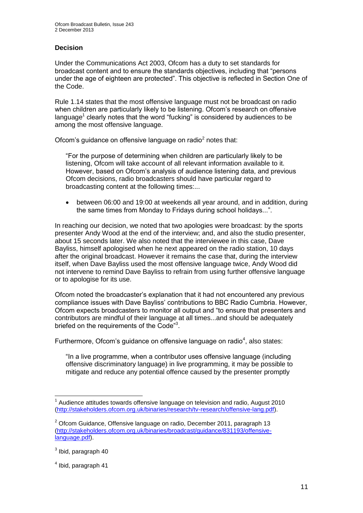#### **Decision**

Under the Communications Act 2003, Ofcom has a duty to set standards for broadcast content and to ensure the standards objectives, including that "persons under the age of eighteen are protected". This objective is reflected in Section One of the Code.

Rule 1.14 states that the most offensive language must not be broadcast on radio when children are particularly likely to be listening. Ofcom's research on offensive language<sup>1</sup> clearly notes that the word "fucking" is considered by audiences to be among the most offensive language.

Ofcom's guidance on offensive language on radio $2$  notes that:

"For the purpose of determining when children are particularly likely to be listening, Ofcom will take account of all relevant information available to it. However, based on Ofcom's analysis of audience listening data, and previous Ofcom decisions, radio broadcasters should have particular regard to broadcasting content at the following times:...

 between 06:00 and 19:00 at weekends all year around, and in addition, during the same times from Monday to Fridays during school holidays...".

In reaching our decision, we noted that two apologies were broadcast: by the sports presenter Andy Wood at the end of the interview; and, and also the studio presenter, about 15 seconds later. We also noted that the interviewee in this case, Dave Bayliss, himself apologised when he next appeared on the radio station, 10 days after the original broadcast. However it remains the case that, during the interview itself, when Dave Bayliss used the most offensive language twice, Andy Wood did not intervene to remind Dave Bayliss to refrain from using further offensive language or to apologise for its use.

Ofcom noted the broadcaster's explanation that it had not encountered any previous compliance issues with Dave Bayliss' contributions to BBC Radio Cumbria. However, Ofcom expects broadcasters to monitor all output and "to ensure that presenters and contributors are mindful of their language at all times...and should be adequately briefed on the requirements of the Code"<sup>3</sup>.

Furthermore, Ofcom's guidance on offensive language on radio $4$ , also states:

"In a live programme, when a contributor uses offensive language (including offensive discriminatory language) in live programming, it may be possible to mitigate and reduce any potential offence caused by the presenter promptly

1

 $1$  Audience attitudes towards offensive language on television and radio, August 2010 [\(http://stakeholders.ofcom.org.uk/binaries/research/tv-research/offensive-lang.pdf\)](http://stakeholders.ofcom.org.uk/binaries/research/tv-research/offensive-lang.pdf).

 $2$  Ofcom Guidance, Offensive language on radio, December 2011, paragraph 13 [\(http://stakeholders.ofcom.org.uk/binaries/broadcast/guidance/831193/offensive](http://stakeholders.ofcom.org.uk/binaries/broadcast/guidance/831193/offensive-language.pdf)[language.pdf\)](http://stakeholders.ofcom.org.uk/binaries/broadcast/guidance/831193/offensive-language.pdf).

 $^3$  lbid, paragraph 40

<sup>4</sup> Ibid, paragraph 41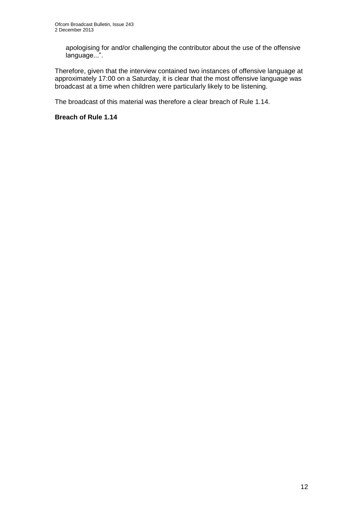apologising for and/or challenging the contributor about the use of the offensive language...".

Therefore, given that the interview contained two instances of offensive language at approximately 17:00 on a Saturday, it is clear that the most offensive language was broadcast at a time when children were particularly likely to be listening.

The broadcast of this material was therefore a clear breach of Rule 1.14.

#### **Breach of Rule 1.14**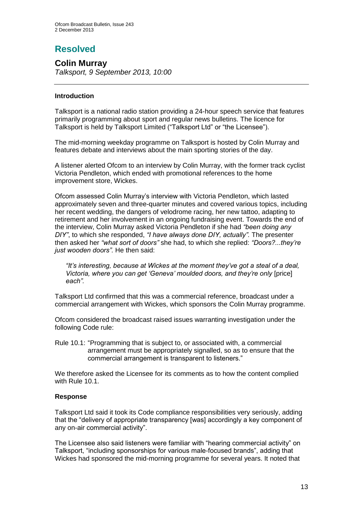# **Resolved**

## **Colin Murray**

*Talksport, 9 September 2013, 10:00*

#### **Introduction**

Talksport is a national radio station providing a 24-hour speech service that features primarily programming about sport and regular news bulletins. The licence for Talksport is held by Talksport Limited ("Talksport Ltd" or "the Licensee").

The mid-morning weekday programme on Talksport is hosted by Colin Murray and features debate and interviews about the main sporting stories of the day.

A listener alerted Ofcom to an interview by Colin Murray, with the former track cyclist Victoria Pendleton, which ended with promotional references to the home improvement store, Wickes.

Ofcom assessed Colin Murray's interview with Victoria Pendleton, which lasted approximately seven and three-quarter minutes and covered various topics, including her recent wedding, the dangers of velodrome racing, her new tattoo, adapting to retirement and her involvement in an ongoing fundraising event. Towards the end of the interview, Colin Murray asked Victoria Pendleton if she had *"been doing any DIY"*, to which she responded, *"I have always done DIY, actually".* The presenter then asked her *"what sort of doors"* she had, to which she replied: *"Doors?...they're just wooden doors".* He then said:

*"It's interesting, because at Wickes at the moment they've got a steal of a deal, Victoria, where you can get 'Geneva' moulded doors, and they're only [price] each".*

Talksport Ltd confirmed that this was a commercial reference, broadcast under a commercial arrangement with Wickes, which sponsors the Colin Murray programme.

Ofcom considered the broadcast raised issues warranting investigation under the following Code rule:

Rule 10.1: "Programming that is subject to, or associated with, a commercial arrangement must be appropriately signalled, so as to ensure that the commercial arrangement is transparent to listeners."

We therefore asked the Licensee for its comments as to how the content complied with Rule 10.1.

#### **Response**

Talksport Ltd said it took its Code compliance responsibilities very seriously, adding that the "delivery of appropriate transparency [was] accordingly a key component of any on-air commercial activity".

The Licensee also said listeners were familiar with "hearing commercial activity" on Talksport, "including sponsorships for various male-focused brands", adding that Wickes had sponsored the mid-morning programme for several years. It noted that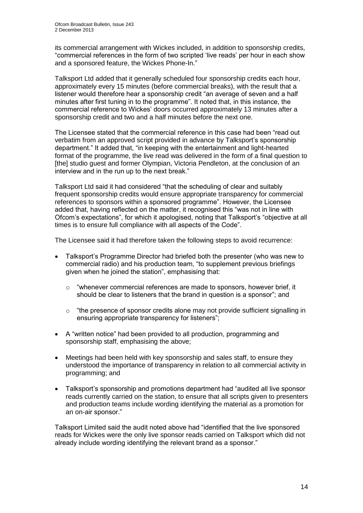its commercial arrangement with Wickes included, in addition to sponsorship credits, "commercial references in the form of two scripted 'live reads' per hour in each show and a sponsored feature, the Wickes Phone-In."

Talksport Ltd added that it generally scheduled four sponsorship credits each hour, approximately every 15 minutes (before commercial breaks), with the result that a listener would therefore hear a sponsorship credit "an average of seven and a half minutes after first tuning in to the programme". It noted that, in this instance, the commercial reference to Wickes' doors occurred approximately 13 minutes after a sponsorship credit and two and a half minutes before the next one.

The Licensee stated that the commercial reference in this case had been "read out verbatim from an approved script provided in advance by Talksport's sponsorship department." It added that, "in keeping with the entertainment and light-hearted format of the programme, the live read was delivered in the form of a final question to [the] studio quest and former Olympian, Victoria Pendleton, at the conclusion of an interview and in the run up to the next break."

Talksport Ltd said it had considered "that the scheduling of clear and suitably frequent sponsorship credits would ensure appropriate transparency for commercial references to sponsors within a sponsored programme". However, the Licensee added that, having reflected on the matter, it recognised this "was not in line with Ofcom's expectations", for which it apologised, noting that Talksport's "objective at all times is to ensure full compliance with all aspects of the Code".

The Licensee said it had therefore taken the following steps to avoid recurrence:

- Talksport's Programme Director had briefed both the presenter (who was new to commercial radio) and his production team, "to supplement previous briefings given when he joined the station", emphasising that:
	- $\circ$  "whenever commercial references are made to sponsors, however brief, it should be clear to listeners that the brand in question is a sponsor"; and
	- $\circ$  "the presence of sponsor credits alone may not provide sufficient signalling in ensuring appropriate transparency for listeners";
- A "written notice" had been provided to all production, programming and sponsorship staff, emphasising the above;
- Meetings had been held with key sponsorship and sales staff, to ensure they understood the importance of transparency in relation to all commercial activity in programming; and
- Talksport's sponsorship and promotions department had "audited all live sponsor reads currently carried on the station, to ensure that all scripts given to presenters and production teams include wording identifying the material as a promotion for an on-air sponsor."

Talksport Limited said the audit noted above had "identified that the live sponsored reads for Wickes were the only live sponsor reads carried on Talksport which did not already include wording identifying the relevant brand as a sponsor."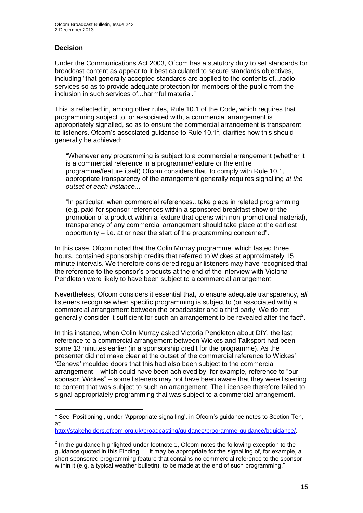#### **Decision**

1

Under the Communications Act 2003, Ofcom has a statutory duty to set standards for broadcast content as appear to it best calculated to secure standards objectives, including "that generally accepted standards are applied to the contents of...radio services so as to provide adequate protection for members of the public from the inclusion in such services of...harmful material."

This is reflected in, among other rules, Rule 10.1 of the Code, which requires that programming subject to, or associated with, a commercial arrangement is appropriately signalled, so as to ensure the commercial arrangement is transparent to listeners. Ofcom's associated guidance to Rule  $10.1<sup>1</sup>$ , clarifies how this should generally be achieved:

"Whenever any programming is subject to a commercial arrangement (whether it is a commercial reference in a programme/feature or the entire programme/feature itself) Ofcom considers that, to comply with Rule 10.1, appropriate transparency of the arrangement generally requires signalling *at the outset of each instance..*.

"In particular, when commercial references...take place in related programming (e.g. paid-for sponsor references within a sponsored breakfast show or the promotion of a product within a feature that opens with non-promotional material), transparency of any commercial arrangement should take place at the earliest opportunity – i.e. at or near the start of the programming concerned".

In this case, Ofcom noted that the Colin Murray programme, which lasted three hours, contained sponsorship credits that referred to Wickes at approximately 15 minute intervals. We therefore considered regular listeners may have recognised that the reference to the sponsor's products at the end of the interview with Victoria Pendleton were likely to have been subject to a commercial arrangement.

Nevertheless, Ofcom considers it essential that, to ensure adequate transparency, *all* listeners recognise when specific programming is subject to (or associated with) a commercial arrangement between the broadcaster and a third party. We do not generally consider it sufficient for such an arrangement to be revealed after the fact<sup>2</sup>.

In this instance, when Colin Murray asked Victoria Pendleton about DIY, the last reference to a commercial arrangement between Wickes and Talksport had been some 13 minutes earlier (in a sponsorship credit for the programme). As the presenter did not make clear at the outset of the commercial reference to Wickes' 'Geneva' moulded doors that this had also been subject to the commercial arrangement – which could have been achieved by, for example, reference to "our sponsor, Wickes" – some listeners may not have been aware that they were listening to content that was subject to such an arrangement. The Licensee therefore failed to signal appropriately programming that was subject to a commercial arrangement.

<sup>&</sup>lt;sup>1</sup> See 'Positioning', under 'Appropriate signalling', in Ofcom's guidance notes to Section Ten, at:

[http://stakeholders.ofcom.org.uk/broadcasting/guidance/programme-guidance/bguidance/.](http://stakeholders.ofcom.org.uk/broadcasting/guidance/programme-guidance/bguidance/)

 $2$  In the guidance highlighted under footnote 1, Ofcom notes the following exception to the guidance quoted in this Finding: "...it may be appropriate for the signalling of, for example, a short sponsored programming feature that contains no commercial reference to the sponsor within it (e.g. a typical weather bulletin), to be made at the end of such programming."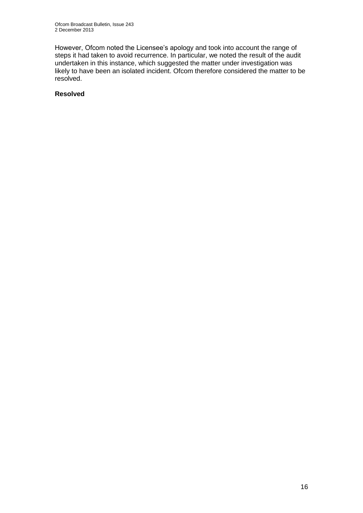However, Ofcom noted the Licensee's apology and took into account the range of steps it had taken to avoid recurrence. In particular, we noted the result of the audit undertaken in this instance, which suggested the matter under investigation was likely to have been an isolated incident. Ofcom therefore considered the matter to be resolved.

#### **Resolved**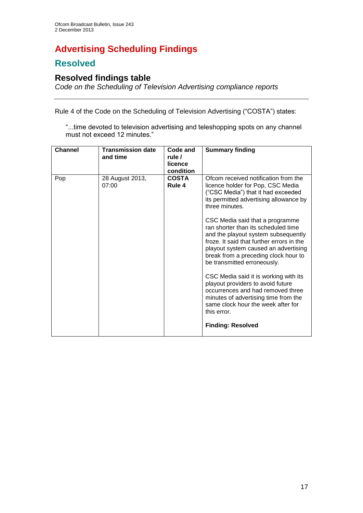# **Advertising Scheduling Findings**

## **Resolved**

## **Resolved findings table**

*Code on the Scheduling of Television Advertising compliance reports*

Rule 4 of the Code on the Scheduling of Television Advertising ("COSTA") states:

"...time devoted to television advertising and teleshopping spots on any channel must not exceed 12 minutes."

| <b>Channel</b> | <b>Transmission date</b><br>and time | Code and<br>rule /<br>licence<br>condition | <b>Summary finding</b>                                                                                                                                                                                                                                                    |
|----------------|--------------------------------------|--------------------------------------------|---------------------------------------------------------------------------------------------------------------------------------------------------------------------------------------------------------------------------------------------------------------------------|
| Pop            | 28 August 2013,<br>07:00             | <b>COSTA</b><br>Rule 4                     | Ofcom received notification from the<br>licence holder for Pop, CSC Media<br>("CSC Media") that it had exceeded<br>its permitted advertising allowance by<br>three minutes.                                                                                               |
|                |                                      |                                            | CSC Media said that a programme<br>ran shorter than its scheduled time<br>and the playout system subsequently<br>froze. It said that further errors in the<br>playout system caused an advertising<br>break from a preceding clock hour to<br>be transmitted erroneously. |
|                |                                      |                                            | CSC Media said it is working with its<br>playout providers to avoid future<br>occurrences and had removed three<br>minutes of advertising time from the<br>same clock hour the week after for<br>this error.                                                              |
|                |                                      |                                            | <b>Finding: Resolved</b>                                                                                                                                                                                                                                                  |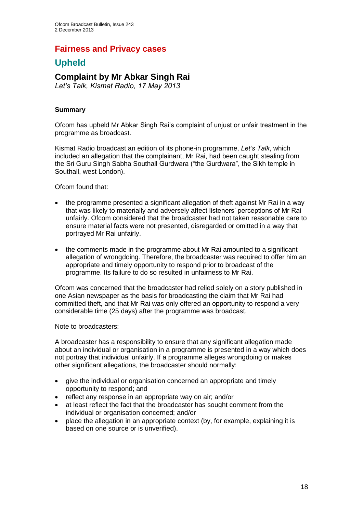## **Fairness and Privacy cases**

## **Upheld**

## **Complaint by Mr Abkar Singh Rai**

*Let's Talk, Kismat Radio, 17 May 2013*

#### **Summary**

Ofcom has upheld Mr Abkar Singh Rai's complaint of unjust or unfair treatment in the programme as broadcast.

Kismat Radio broadcast an edition of its phone-in programme, *Let's Talk*, which included an allegation that the complainant, Mr Rai, had been caught stealing from the Sri Guru Singh Sabha Southall Gurdwara ("the Gurdwara", the Sikh temple in Southall, west London).

Ofcom found that:

- the programme presented a significant allegation of theft against Mr Rai in a way that was likely to materially and adversely affect listeners' perceptions of Mr Rai unfairly. Ofcom considered that the broadcaster had not taken reasonable care to ensure material facts were not presented, disregarded or omitted in a way that portrayed Mr Rai unfairly.
- the comments made in the programme about Mr Rai amounted to a significant allegation of wrongdoing. Therefore, the broadcaster was required to offer him an appropriate and timely opportunity to respond prior to broadcast of the programme. Its failure to do so resulted in unfairness to Mr Rai.

Ofcom was concerned that the broadcaster had relied solely on a story published in one Asian newspaper as the basis for broadcasting the claim that Mr Rai had committed theft, and that Mr Rai was only offered an opportunity to respond a very considerable time (25 days) after the programme was broadcast.

#### Note to broadcasters:

A broadcaster has a responsibility to ensure that any significant allegation made about an individual or organisation in a programme is presented in a way which does not portray that individual unfairly. If a programme alleges wrongdoing or makes other significant allegations, the broadcaster should normally:

- give the individual or organisation concerned an appropriate and timely opportunity to respond; and
- reflect any response in an appropriate way on air; and/or
- at least reflect the fact that the broadcaster has sought comment from the individual or organisation concerned; and/or
- place the allegation in an appropriate context (by, for example, explaining it is based on one source or is unverified).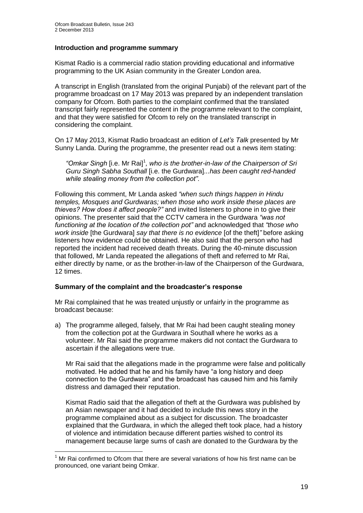#### **Introduction and programme summary**

Kismat Radio is a commercial radio station providing educational and informative programming to the UK Asian community in the Greater London area.

A transcript in English (translated from the original Punjabi) of the relevant part of the programme broadcast on 17 May 2013 was prepared by an independent translation company for Ofcom. Both parties to the complaint confirmed that the translated transcript fairly represented the content in the programme relevant to the complaint, and that they were satisfied for Ofcom to rely on the translated transcript in considering the complaint.

On 17 May 2013, Kismat Radio broadcast an edition of *Let's Talk* presented by Mr Sunny Landa. During the programme, the presenter read out a news item stating:

"Omkar Singh [i.e. Mr Rai]<sup>1</sup>, who is the brother-in-law of the Chairperson of Sri *Guru Singh Sabha Southall* [i.e. the Gurdwara]*...has been caught red-handed while stealing money from the collection pot"*.

Following this comment, Mr Landa asked *"when such things happen in Hindu temples, Mosques and Gurdwaras; when those who work inside these places are thieves? How does it affect people?"* and invited listeners to phone in to give their opinions. The presenter said that the CCTV camera in the Gurdwara *"was not functioning at the location of the collection pot"* and acknowledged that *"those who work inside* [the Gurdwara] *say that there is no evidence* [of the theft]*"* before asking listeners how evidence could be obtained. He also said that the person who had reported the incident had received death threats. During the 40-minute discussion that followed, Mr Landa repeated the allegations of theft and referred to Mr Rai, either directly by name, or as the brother-in-law of the Chairperson of the Gurdwara, 12 times.

#### **Summary of the complaint and the broadcaster's response**

Mr Rai complained that he was treated unjustly or unfairly in the programme as broadcast because:

a) The programme alleged, falsely, that Mr Rai had been caught stealing money from the collection pot at the Gurdwara in Southall where he works as a volunteer. Mr Rai said the programme makers did not contact the Gurdwara to ascertain if the allegations were true.

Mr Rai said that the allegations made in the programme were false and politically motivated. He added that he and his family have "a long history and deep connection to the Gurdwara" and the broadcast has caused him and his family distress and damaged their reputation.

Kismat Radio said that the allegation of theft at the Gurdwara was published by an Asian newspaper and it had decided to include this news story in the programme complained about as a subject for discussion. The broadcaster explained that the Gurdwara, in which the alleged theft took place, had a history of violence and intimidation because different parties wished to control its management because large sums of cash are donated to the Gurdwara by the

1

 $<sup>1</sup>$  Mr Rai confirmed to Ofcom that there are several variations of how his first name can be</sup> pronounced, one variant being Omkar.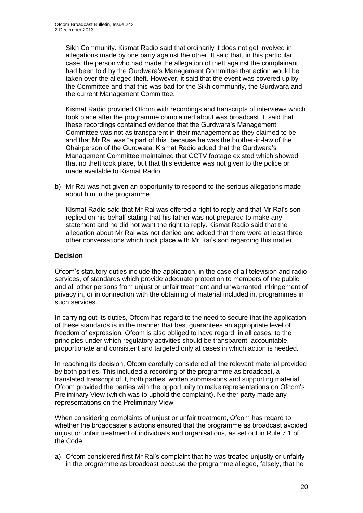Sikh Community. Kismat Radio said that ordinarily it does not get involved in allegations made by one party against the other. It said that, in this particular case, the person who had made the allegation of theft against the complainant had been told by the Gurdwara's Management Committee that action would be taken over the alleged theft. However, it said that the event was covered up by the Committee and that this was bad for the Sikh community, the Gurdwara and the current Management Committee.

Kismat Radio provided Ofcom with recordings and transcripts of interviews which took place after the programme complained about was broadcast. It said that these recordings contained evidence that the Gurdwara's Management Committee was not as transparent in their management as they claimed to be and that Mr Rai was "a part of this" because he was the brother-in-law of the Chairperson of the Gurdwara. Kismat Radio added that the Gurdwara's Management Committee maintained that CCTV footage existed which showed that no theft took place, but that this evidence was not given to the police or made available to Kismat Radio.

b) Mr Rai was not given an opportunity to respond to the serious allegations made about him in the programme.

Kismat Radio said that Mr Rai was offered a right to reply and that Mr Rai's son replied on his behalf stating that his father was not prepared to make any statement and he did not want the right to reply. Kismat Radio said that the allegation about Mr Rai was not denied and added that there were at least three other conversations which took place with Mr Rai's son regarding this matter.

#### **Decision**

Ofcom's statutory duties include the application, in the case of all television and radio services, of standards which provide adequate protection to members of the public and all other persons from unjust or unfair treatment and unwarranted infringement of privacy in, or in connection with the obtaining of material included in, programmes in such services.

In carrying out its duties, Ofcom has regard to the need to secure that the application of these standards is in the manner that best guarantees an appropriate level of freedom of expression. Ofcom is also obliged to have regard, in all cases, to the principles under which regulatory activities should be transparent, accountable, proportionate and consistent and targeted only at cases in which action is needed.

In reaching its decision, Ofcom carefully considered all the relevant material provided by both parties. This included a recording of the programme as broadcast, a translated transcript of it, both parties' written submissions and supporting material. Ofcom provided the parties with the opportunity to make representations on Ofcom's Preliminary View (which was to uphold the complaint). Neither party made any representations on the Preliminary View.

When considering complaints of unjust or unfair treatment, Ofcom has regard to whether the broadcaster's actions ensured that the programme as broadcast avoided unjust or unfair treatment of individuals and organisations, as set out in Rule 7.1 of the Code.

a) Ofcom considered first Mr Rai's complaint that he was treated unjustly or unfairly in the programme as broadcast because the programme alleged, falsely, that he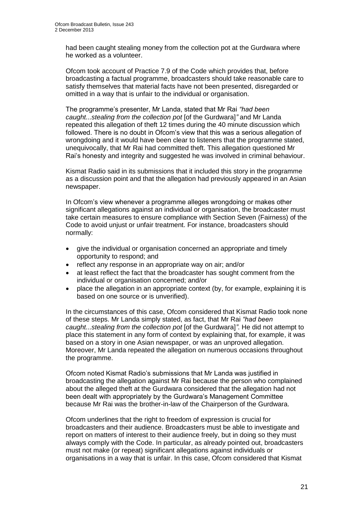had been caught stealing money from the collection pot at the Gurdwara where he worked as a volunteer.

Ofcom took account of Practice 7.9 of the Code which provides that, before broadcasting a factual programme, broadcasters should take reasonable care to satisfy themselves that material facts have not been presented, disregarded or omitted in a way that is unfair to the individual or organisation.

The programme's presenter, Mr Landa, stated that Mr Rai *"had been caught...stealing from the collection pot* [of the Gurdwara]*"* and Mr Landa repeated this allegation of theft 12 times during the 40 minute discussion which followed. There is no doubt in Ofcom's view that this was a serious allegation of wrongdoing and it would have been clear to listeners that the programme stated, unequivocally, that Mr Rai had committed theft. This allegation questioned Mr Rai's honesty and integrity and suggested he was involved in criminal behaviour.

Kismat Radio said in its submissions that it included this story in the programme as a discussion point and that the allegation had previously appeared in an Asian newspaper.

In Ofcom's view whenever a programme alleges wrongdoing or makes other significant allegations against an individual or organisation, the broadcaster must take certain measures to ensure compliance with Section Seven (Fairness) of the Code to avoid unjust or unfair treatment. For instance, broadcasters should normally:

- give the individual or organisation concerned an appropriate and timely opportunity to respond; and
- reflect any response in an appropriate way on air; and/or
- at least reflect the fact that the broadcaster has sought comment from the individual or organisation concerned; and/or
- place the allegation in an appropriate context (by, for example, explaining it is based on one source or is unverified).

In the circumstances of this case, Ofcom considered that Kismat Radio took none of these steps. Mr Landa simply stated, as fact, that Mr Rai *"had been caught...stealing from the collection pot* [of the Gurdwara]*"*. He did not attempt to place this statement in any form of context by explaining that, for example, it was based on a story in one Asian newspaper, or was an unproved allegation. Moreover, Mr Landa repeated the allegation on numerous occasions throughout the programme.

Ofcom noted Kismat Radio's submissions that Mr Landa was justified in broadcasting the allegation against Mr Rai because the person who complained about the alleged theft at the Gurdwara considered that the allegation had not been dealt with appropriately by the Gurdwara's Management Committee because Mr Rai was the brother-in-law of the Chairperson of the Gurdwara.

Ofcom underlines that the right to freedom of expression is crucial for broadcasters and their audience. Broadcasters must be able to investigate and report on matters of interest to their audience freely, but in doing so they must always comply with the Code. In particular, as already pointed out, broadcasters must not make (or repeat) significant allegations against individuals or organisations in a way that is unfair. In this case, Ofcom considered that Kismat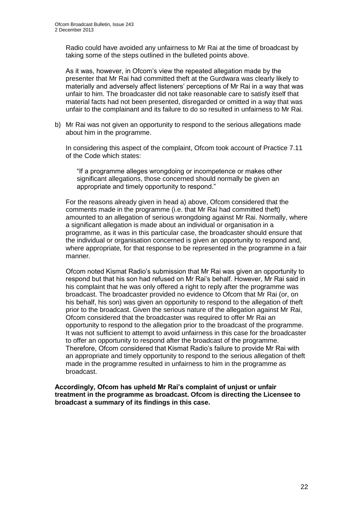Radio could have avoided any unfairness to Mr Rai at the time of broadcast by taking some of the steps outlined in the bulleted points above.

As it was, however, in Ofcom's view the repeated allegation made by the presenter that Mr Rai had committed theft at the Gurdwara was clearly likely to materially and adversely affect listeners' perceptions of Mr Rai in a way that was unfair to him. The broadcaster did not take reasonable care to satisfy itself that material facts had not been presented, disregarded or omitted in a way that was unfair to the complainant and its failure to do so resulted in unfairness to Mr Rai.

b) Mr Rai was not given an opportunity to respond to the serious allegations made about him in the programme.

In considering this aspect of the complaint, Ofcom took account of Practice 7.11 of the Code which states:

"If a programme alleges wrongdoing or incompetence or makes other significant allegations, those concerned should normally be given an appropriate and timely opportunity to respond."

For the reasons already given in head a) above, Ofcom considered that the comments made in the programme (i.e. that Mr Rai had committed theft) amounted to an allegation of serious wrongdoing against Mr Rai. Normally, where a significant allegation is made about an individual or organisation in a programme, as it was in this particular case, the broadcaster should ensure that the individual or organisation concerned is given an opportunity to respond and, where appropriate, for that response to be represented in the programme in a fair manner.

Ofcom noted Kismat Radio's submission that Mr Rai was given an opportunity to respond but that his son had refused on Mr Rai's behalf. However, Mr Rai said in his complaint that he was only offered a right to reply after the programme was broadcast. The broadcaster provided no evidence to Ofcom that Mr Rai (or, on his behalf, his son) was given an opportunity to respond to the allegation of theft prior to the broadcast. Given the serious nature of the allegation against Mr Rai, Ofcom considered that the broadcaster was required to offer Mr Rai an opportunity to respond to the allegation prior to the broadcast of the programme. It was not sufficient to attempt to avoid unfairness in this case for the broadcaster to offer an opportunity to respond after the broadcast of the programme. Therefore, Ofcom considered that Kismat Radio's failure to provide Mr Rai with an appropriate and timely opportunity to respond to the serious allegation of theft made in the programme resulted in unfairness to him in the programme as broadcast.

**Accordingly, Ofcom has upheld Mr Rai's complaint of unjust or unfair treatment in the programme as broadcast. Ofcom is directing the Licensee to broadcast a summary of its findings in this case.**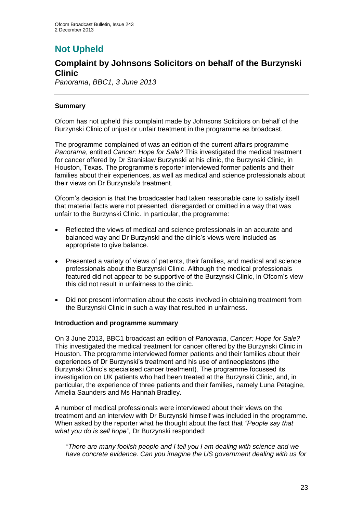# **Not Upheld**

## **Complaint by Johnsons Solicitors on behalf of the Burzynski Clinic**

*Panorama*, *BBC1, 3 June 2013*

#### **Summary**

Ofcom has not upheld this complaint made by Johnsons Solicitors on behalf of the Burzynski Clinic of unjust or unfair treatment in the programme as broadcast.

The programme complained of was an edition of the current affairs programme *Panorama*, entitled *Cancer: Hope for Sale?* This investigated the medical treatment for cancer offered by Dr Stanislaw Burzynski at his clinic, the Burzynski Clinic, in Houston, Texas. The programme's reporter interviewed former patients and their families about their experiences, as well as medical and science professionals about their views on Dr Burzynski's treatment.

Ofcom's decision is that the broadcaster had taken reasonable care to satisfy itself that material facts were not presented, disregarded or omitted in a way that was unfair to the Burzynski Clinic. In particular, the programme:

- Reflected the views of medical and science professionals in an accurate and balanced way and Dr Burzynski and the clinic's views were included as appropriate to give balance.
- Presented a variety of views of patients, their families, and medical and science professionals about the Burzynski Clinic. Although the medical professionals featured did not appear to be supportive of the Burzynski Clinic, in Ofcom's view this did not result in unfairness to the clinic.
- Did not present information about the costs involved in obtaining treatment from the Burzynski Clinic in such a way that resulted in unfairness.

#### **Introduction and programme summary**

On 3 June 2013, BBC1 broadcast an edition of *Panorama*, *Cancer: Hope for Sale?*  This investigated the medical treatment for cancer offered by the Burzynski Clinic in Houston. The programme interviewed former patients and their families about their experiences of Dr Burzynski's treatment and his use of antineoplastons (the Burzynski Clinic's specialised cancer treatment). The programme focussed its investigation on UK patients who had been treated at the Burzynski Clinic, and, in particular, the experience of three patients and their families, namely Luna Petagine, Amelia Saunders and Ms Hannah Bradley.

A number of medical professionals were interviewed about their views on the treatment and an interview with Dr Burzynski himself was included in the programme. When asked by the reporter what he thought about the fact that *"People say that what you do is sell hope"*, Dr Burzynski responded:

*"There are many foolish people and I tell you I am dealing with science and we have concrete evidence. Can you imagine the US government dealing with us for*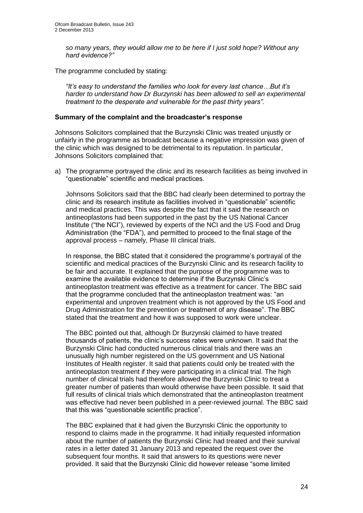*so many years, they would allow me to be here if I just sold hope? Without any hard evidence?"*

The programme concluded by stating:

*"It's easy to understand the families who look for every last chance…But it's harder to understand how Dr Burzynski has been allowed to sell an experimental treatment to the desperate and vulnerable for the past thirty years".*

#### **Summary of the complaint and the broadcaster's response**

Johnsons Solicitors complained that the Burzynski Clinic was treated unjustly or unfairly in the programme as broadcast because a negative impression was given of the clinic which was designed to be detrimental to its reputation. In particular, Johnsons Solicitors complained that:

a) The programme portrayed the clinic and its research facilities as being involved in "questionable" scientific and medical practices.

Johnsons Solicitors said that the BBC had clearly been determined to portray the clinic and its research institute as facilities involved in "questionable" scientific and medical practices. This was despite the fact that it said the research on antineoplastons had been supported in the past by the US National Cancer Institute ("the NCI"), reviewed by experts of the NCI and the US Food and Drug Administration (the "FDA"), and permitted to proceed to the final stage of the approval process – namely, Phase III clinical trials.

In response, the BBC stated that it considered the programme's portrayal of the scientific and medical practices of the Burzynski Clinic and its research facility to be fair and accurate. It explained that the purpose of the programme was to examine the available evidence to determine if the Burzynski Clinic's antineoplaston treatment was effective as a treatment for cancer. The BBC said that the programme concluded that the antineoplaston treatment was: "an experimental and unproven treatment which is not approved by the US Food and Drug Administration for the prevention or treatment of any disease". The BBC stated that the treatment and how it was supposed to work were unclear.

The BBC pointed out that, although Dr Burzynski claimed to have treated thousands of patients, the clinic's success rates were unknown. It said that the Burzynski Clinic had conducted numerous clinical trials and there was an unusually high number registered on the US government and US National Institutes of Health register. It said that patients could only be treated with the antineoplaston treatment if they were participating in a clinical trial. The high number of clinical trials had therefore allowed the Burzynski Clinic to treat a greater number of patients than would otherwise have been possible. It said that full results of clinical trials which demonstrated that the antineoplaston treatment was effective had never been published in a peer-reviewed journal. The BBC said that this was "questionable scientific practice".

The BBC explained that it had given the Burzynski Clinic the opportunity to respond to claims made in the programme. It had initially requested information about the number of patients the Burzynski Clinic had treated and their survival rates in a letter dated 31 January 2013 and repeated the request over the subsequent four months. It said that answers to its questions were never provided. It said that the Burzynski Clinic did however release "some limited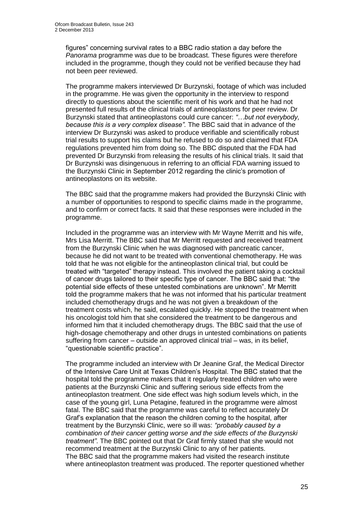figures" concerning survival rates to a BBC radio station a day before the *Panorama* programme was due to be broadcast. These figures were therefore included in the programme, though they could not be verified because they had not been peer reviewed.

The programme makers interviewed Dr Burzynski, footage of which was included in the programme. He was given the opportunity in the interview to respond directly to questions about the scientific merit of his work and that he had not presented full results of the clinical trials of antineoplastons for peer review. Dr Burzynski stated that antineoplastons could cure cancer: *"…but not everybody, because this is a very complex disease".* The BBC said that in advance of the interview Dr Burzynski was asked to produce verifiable and scientifically robust trial results to support his claims but he refused to do so and claimed that FDA regulations prevented him from doing so. The BBC disputed that the FDA had prevented Dr Burzynski from releasing the results of his clinical trials. It said that Dr Burzynski was disingenuous in referring to an official FDA warning issued to the Burzynski Clinic in September 2012 regarding the clinic's promotion of antineoplastons on its website.

The BBC said that the programme makers had provided the Burzynski Clinic with a number of opportunities to respond to specific claims made in the programme, and to confirm or correct facts. It said that these responses were included in the programme.

Included in the programme was an interview with Mr Wayne Merritt and his wife, Mrs Lisa Merritt. The BBC said that Mr Merritt requested and received treatment from the Burzynski Clinic when he was diagnosed with pancreatic cancer, because he did not want to be treated with conventional chemotherapy. He was told that he was not eligible for the antineoplaston clinical trial, but could be treated with "targeted" therapy instead. This involved the patient taking a cocktail of cancer drugs tailored to their specific type of cancer. The BBC said that: "the potential side effects of these untested combinations are unknown". Mr Merritt told the programme makers that he was not informed that his particular treatment included chemotherapy drugs and he was not given a breakdown of the treatment costs which, he said, escalated quickly. He stopped the treatment when his oncologist told him that she considered the treatment to be dangerous and informed him that it included chemotherapy drugs. The BBC said that the use of high-dosage chemotherapy and other drugs in untested combinations on patients suffering from cancer – outside an approved clinical trial – was, in its belief, "questionable scientific practice".

The programme included an interview with Dr Jeanine Graf, the Medical Director of the Intensive Care Unit at Texas Children's Hospital. The BBC stated that the hospital told the programme makers that it regularly treated children who were patients at the Burzynski Clinic and suffering serious side effects from the antineoplaston treatment. One side effect was high sodium levels which, in the case of the young girl, Luna Petagine, featured in the programme were almost fatal. The BBC said that the programme was careful to reflect accurately Dr Graf's explanation that the reason the children coming to the hospital, after treatment by the Burzynski Clinic, were so ill was: *"probably caused by a combination of their cancer getting worse and the side effects of the Burzynski treatment"*. The BBC pointed out that Dr Graf firmly stated that she would not recommend treatment at the Burzynski Clinic to any of her patients. The BBC said that the programme makers had visited the research institute where antineoplaston treatment was produced. The reporter questioned whether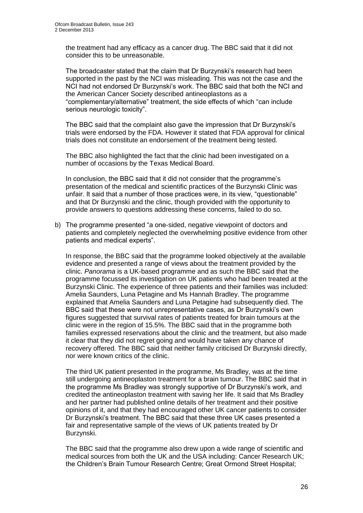the treatment had any efficacy as a cancer drug. The BBC said that it did not consider this to be unreasonable.

The broadcaster stated that the claim that Dr Burzynski's research had been supported in the past by the NCI was misleading. This was not the case and the NCI had not endorsed Dr Burzynski's work. The BBC said that both the NCI and the American Cancer Society described antineoplastons as a "complementary/alternative" treatment, the side effects of which "can include serious neurologic toxicity".

The BBC said that the complaint also gave the impression that Dr Burzynski's trials were endorsed by the FDA. However it stated that FDA approval for clinical trials does not constitute an endorsement of the treatment being tested.

The BBC also highlighted the fact that the clinic had been investigated on a number of occasions by the Texas Medical Board.

In conclusion, the BBC said that it did not consider that the programme's presentation of the medical and scientific practices of the Burzynski Clinic was unfair. It said that a number of those practices were, in its view, "questionable" and that Dr Burzynski and the clinic, though provided with the opportunity to provide answers to questions addressing these concerns, failed to do so.

b) The programme presented "a one-sided, negative viewpoint of doctors and patients and completely neglected the overwhelming positive evidence from other patients and medical experts".

In response, the BBC said that the programme looked objectively at the available evidence and presented a range of views about the treatment provided by the clinic. *Panorama* is a UK-based programme and as such the BBC said that the programme focussed its investigation on UK patients who had been treated at the Burzynski Clinic. The experience of three patients and their families was included: Amelia Saunders, Luna Petagine and Ms Hannah Bradley. The programme explained that Amelia Saunders and Luna Petagine had subsequently died. The BBC said that these were not unrepresentative cases, as Dr Burzynski's own figures suggested that survival rates of patients treated for brain tumours at the clinic were in the region of 15.5%. The BBC said that in the programme both families expressed reservations about the clinic and the treatment, but also made it clear that they did not regret going and would have taken any chance of recovery offered. The BBC said that neither family criticised Dr Burzynski directly, nor were known critics of the clinic.

The third UK patient presented in the programme, Ms Bradley, was at the time still undergoing antineoplaston treatment for a brain tumour. The BBC said that in the programme Ms Bradley was strongly supportive of Dr Burzynski's work, and credited the antineoplaston treatment with saving her life. It said that Ms Bradley and her partner had published online details of her treatment and their positive opinions of it, and that they had encouraged other UK cancer patients to consider Dr Burzynski's treatment. The BBC said that these three UK cases presented a fair and representative sample of the views of UK patients treated by Dr Burzynski.

The BBC said that the programme also drew upon a wide range of scientific and medical sources from both the UK and the USA including: Cancer Research UK; the Children's Brain Tumour Research Centre; Great Ormond Street Hospital;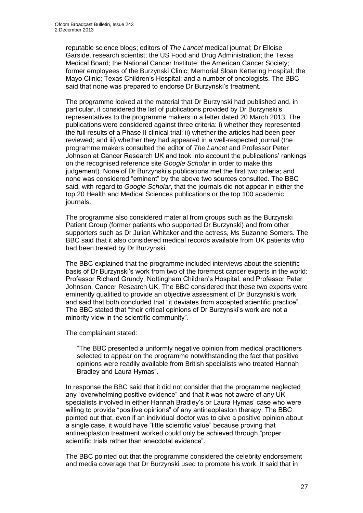reputable science blogs; editors of *The Lancet* medical journal; Dr Elloise Garside, research scientist; the US Food and Drug Administration; the Texas Medical Board; the National Cancer Institute; the American Cancer Society; former employees of the Burzynski Clinic; Memorial Sloan Kettering Hospital; the Mayo Clinic; Texas Children's Hospital; and a number of oncologists. The BBC said that none was prepared to endorse Dr Burzynski's treatment.

The programme looked at the material that Dr Burzynski had published and, in particular, it considered the list of publications provided by Dr Burzynski's representatives to the programme makers in a letter dated 20 March 2013. The publications were considered against three criteria: i) whether they represented the full results of a Phase II clinical trial; ii) whether the articles had been peer reviewed; and iii) whether they had appeared in a well-respected journal (the programme makers consulted the editor of *The Lancet* and Professor Peter Johnson at Cancer Research UK and took into account the publications' rankings on the recognised reference site *Google Scholar* in order to make this judgement). None of Dr Burzynski's publications met the first two criteria; and none was considered "eminent" by the above two sources consulted. The BBC said, with regard to *Google Scholar*, that the journals did not appear in either the top 20 Health and Medical Sciences publications or the top 100 academic journals.

The programme also considered material from groups such as the Burzynski Patient Group (former patients who supported Dr Burzynski) and from other supporters such as Dr Julian Whitaker and the actress, Ms Suzanne Somers. The BBC said that it also considered medical records available from UK patients who had been treated by Dr Burzynski.

The BBC explained that the programme included interviews about the scientific basis of Dr Burzynski's work from two of the foremost cancer experts in the world: Professor Richard Grundy, Nottingham Children's Hospital, and Professor Peter Johnson, Cancer Research UK. The BBC considered that these two experts were eminently qualified to provide an objective assessment of Dr Burzynski's work and said that both concluded that "it deviates from accepted scientific practice". The BBC stated that "their critical opinions of Dr Burzynski's work are not a minority view in the scientific community".

The complainant stated:

"The BBC presented a uniformly negative opinion from medical practitioners selected to appear on the programme notwithstanding the fact that positive opinions were readily available from British specialists who treated Hannah Bradley and Laura Hymas".

In response the BBC said that it did not consider that the programme neglected any "overwhelming positive evidence" and that it was not aware of any UK specialists involved in either Hannah Bradley's or Laura Hymas' case who were willing to provide "positive opinions" of any antineoplaston therapy. The BBC pointed out that, even if an individual doctor was to give a positive opinion about a single case, it would have "little scientific value" because proving that antineoplaston treatment worked could only be achieved through "proper scientific trials rather than anecdotal evidence".

The BBC pointed out that the programme considered the celebrity endorsement and media coverage that Dr Burzynski used to promote his work. It said that in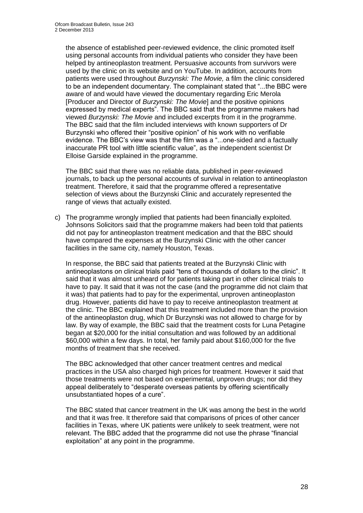the absence of established peer-reviewed evidence, the clinic promoted itself using personal accounts from individual patients who consider they have been helped by antineoplaston treatment. Persuasive accounts from survivors were used by the clinic on its website and on YouTube. In addition, accounts from patients were used throughout *Burzynski: The Movie,* a film the clinic considered to be an independent documentary. The complainant stated that "...the BBC were aware of and would have viewed the documentary regarding Eric Merola [Producer and Director of *Burzynski: The Movie*] and the positive opinions expressed by medical experts". The BBC said that the programme makers had viewed *Burzynski: The Movie* and included excerpts from it in the programme. The BBC said that the film included interviews with known supporters of Dr Burzynski who offered their "positive opinion" of his work with no verifiable evidence. The BBC's view was that the film was a "...one-sided and a factually inaccurate PR tool with little scientific value", as the independent scientist Dr Elloise Garside explained in the programme.

The BBC said that there was no reliable data, published in peer-reviewed journals, to back up the personal accounts of survival in relation to antineoplaston treatment. Therefore, it said that the programme offered a representative selection of views about the Burzynski Clinic and accurately represented the range of views that actually existed.

c) The programme wrongly implied that patients had been financially exploited. Johnsons Solicitors said that the programme makers had been told that patients did not pay for antineoplaston treatment medication and that the BBC should have compared the expenses at the Burzynski Clinic with the other cancer facilities in the same city, namely Houston, Texas.

In response, the BBC said that patients treated at the Burzynski Clinic with antineoplastons on clinical trials paid "tens of thousands of dollars to the clinic". It said that it was almost unheard of for patients taking part in other clinical trials to have to pay. It said that it was not the case (and the programme did not claim that it was) that patients had to pay for the experimental, unproven antineoplaston drug. However, patients did have to pay to receive antineoplaston treatment at the clinic. The BBC explained that this treatment included more than the provision of the antineoplaston drug, which Dr Burzynski was not allowed to charge for by law. By way of example, the BBC said that the treatment costs for Luna Petagine began at \$20,000 for the initial consultation and was followed by an additional \$60,000 within a few days. In total, her family paid about \$160,000 for the five months of treatment that she received.

The BBC acknowledged that other cancer treatment centres and medical practices in the USA also charged high prices for treatment. However it said that those treatments were not based on experimental, unproven drugs; nor did they appeal deliberately to "desperate overseas patients by offering scientifically unsubstantiated hopes of a cure".

The BBC stated that cancer treatment in the UK was among the best in the world and that it was free. It therefore said that comparisons of prices of other cancer facilities in Texas, where UK patients were unlikely to seek treatment, were not relevant. The BBC added that the programme did not use the phrase "financial exploitation" at any point in the programme.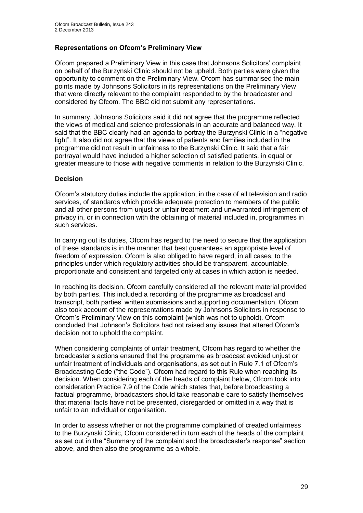#### **Representations on Ofcom's Preliminary View**

Ofcom prepared a Preliminary View in this case that Johnsons Solicitors' complaint on behalf of the Burzynski Clinic should not be upheld. Both parties were given the opportunity to comment on the Preliminary View. Ofcom has summarised the main points made by Johnsons Solicitors in its representations on the Preliminary View that were directly relevant to the complaint responded to by the broadcaster and considered by Ofcom. The BBC did not submit any representations.

In summary, Johnsons Solicitors said it did not agree that the programme reflected the views of medical and science professionals in an accurate and balanced way. It said that the BBC clearly had an agenda to portray the Burzynski Clinic in a "negative light". It also did not agree that the views of patients and families included in the programme did not result in unfairness to the Burzynski Clinic. It said that a fair portrayal would have included a higher selection of satisfied patients, in equal or greater measure to those with negative comments in relation to the Burzynski Clinic.

#### **Decision**

Ofcom's statutory duties include the application, in the case of all television and radio services, of standards which provide adequate protection to members of the public and all other persons from unjust or unfair treatment and unwarranted infringement of privacy in, or in connection with the obtaining of material included in, programmes in such services.

In carrying out its duties, Ofcom has regard to the need to secure that the application of these standards is in the manner that best guarantees an appropriate level of freedom of expression. Ofcom is also obliged to have regard, in all cases, to the principles under which regulatory activities should be transparent, accountable, proportionate and consistent and targeted only at cases in which action is needed.

In reaching its decision, Ofcom carefully considered all the relevant material provided by both parties. This included a recording of the programme as broadcast and transcript, both parties' written submissions and supporting documentation. Ofcom also took account of the representations made by Johnsons Solicitors in response to Ofcom's Preliminary View on this complaint (which was not to uphold). Ofcom concluded that Johnson's Solicitors had not raised any issues that altered Ofcom's decision not to uphold the complaint.

When considering complaints of unfair treatment, Ofcom has regard to whether the broadcaster's actions ensured that the programme as broadcast avoided unjust or unfair treatment of individuals and organisations, as set out in Rule 7.1 of Ofcom's Broadcasting Code ("the Code"). Ofcom had regard to this Rule when reaching its decision. When considering each of the heads of complaint below, Ofcom took into consideration Practice 7.9 of the Code which states that, before broadcasting a factual programme, broadcasters should take reasonable care to satisfy themselves that material facts have not be presented, disregarded or omitted in a way that is unfair to an individual or organisation.

In order to assess whether or not the programme complained of created unfairness to the Burzynski Clinic, Ofcom considered in turn each of the heads of the complaint as set out in the "Summary of the complaint and the broadcaster's response" section above, and then also the programme as a whole.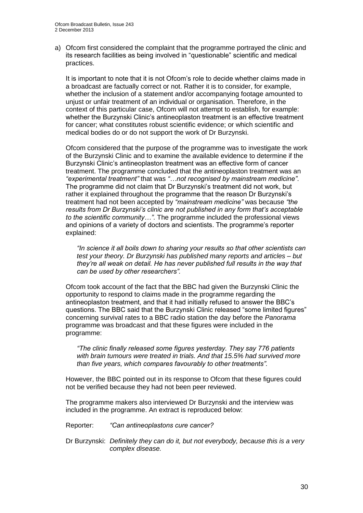a) Ofcom first considered the complaint that the programme portrayed the clinic and its research facilities as being involved in "questionable" scientific and medical practices.

It is important to note that it is not Ofcom's role to decide whether claims made in a broadcast are factually correct or not. Rather it is to consider, for example, whether the inclusion of a statement and/or accompanying footage amounted to unjust or unfair treatment of an individual or organisation. Therefore, in the context of this particular case, Ofcom will not attempt to establish, for example: whether the Burzynski Clinic's antineoplaston treatment is an effective treatment for cancer; what constitutes robust scientific evidence; or which scientific and medical bodies do or do not support the work of Dr Burzynski.

Ofcom considered that the purpose of the programme was to investigate the work of the Burzynski Clinic and to examine the available evidence to determine if the Burzynski Clinic's antineoplaston treatment was an effective form of cancer treatment. The programme concluded that the antineoplaston treatment was an *"experimental treatment"* that was *"…not recognised by mainstream medicine"*. The programme did not claim that Dr Burzynski's treatment did not work, but rather it explained throughout the programme that the reason Dr Burzynski's treatment had not been accepted by *"mainstream medicine"* was because *"the results from Dr Burzynski's clinic are not published in any form that's acceptable to the scientific community…"*. The programme included the professional views and opinions of a variety of doctors and scientists. The programme's reporter explained:

*"In science it all boils down to sharing your results so that other scientists can test your theory. Dr Burzynski has published many reports and articles – but they're all weak on detail. He has never published full results in the way that can be used by other researchers".*

Ofcom took account of the fact that the BBC had given the Burzynski Clinic the opportunity to respond to claims made in the programme regarding the antineoplaston treatment, and that it had initially refused to answer the BBC's questions. The BBC said that the Burzynski Clinic released "some limited figures" concerning survival rates to a BBC radio station the day before the *Panorama* programme was broadcast and that these figures were included in the programme:

*"The clinic finally released some figures yesterday. They say 776 patients with brain tumours were treated in trials. And that 15.5% had survived more than five years, which compares favourably to other treatments".* 

However, the BBC pointed out in its response to Ofcom that these figures could not be verified because they had not been peer reviewed.

The programme makers also interviewed Dr Burzynski and the interview was included in the programme. An extract is reproduced below:

- Reporter: *"Can antineoplastons cure cancer?*
- Dr Burzynski: *Definitely they can do it, but not everybody, because this is a very complex disease.*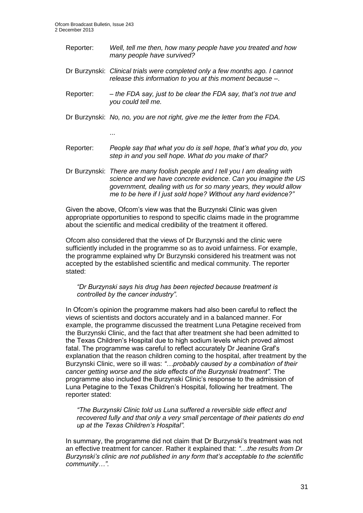...

- Reporter: *Well, tell me then, how many people have you treated and how many people have survived?*
- Dr Burzynski: *Clinical trials were completed only a few months ago. I cannot release this information to you at this moment because –*.
- Reporter: *the FDA say, just to be clear the FDA say, that's not true and you could tell me.*
- Dr Burzynski: *No, no, you are not right, give me the letter from the FDA.*
- Reporter: *People say that what you do is sell hope, that's what you do, you step in and you sell hope. What do you make of that?*
- Dr Burzynski: *There are many foolish people and I tell you I am dealing with science and we have concrete evidence. Can you imagine the US government, dealing with us for so many years, they would allow me to be here if I just sold hope? Without any hard evidence?"*

Given the above, Ofcom's view was that the Burzynski Clinic was given appropriate opportunities to respond to specific claims made in the programme about the scientific and medical credibility of the treatment it offered.

Ofcom also considered that the views of Dr Burzynski and the clinic were sufficiently included in the programme so as to avoid unfairness. For example, the programme explained why Dr Burzynski considered his treatment was not accepted by the established scientific and medical community. The reporter stated:

*"Dr Burzynski says his drug has been rejected because treatment is controlled by the cancer industry".*

In Ofcom's opinion the programme makers had also been careful to reflect the views of scientists and doctors accurately and in a balanced manner. For example, the programme discussed the treatment Luna Petagine received from the Burzynski Clinic, and the fact that after treatment she had been admitted to the Texas Children's Hospital due to high sodium levels which proved almost fatal. The programme was careful to reflect accurately Dr Jeanine Graf's explanation that the reason children coming to the hospital, after treatment by the Burzynski Clinic, were so ill was: *"…probably caused by a combination of their cancer getting worse and the side effects of the Burzynski treatment".* The programme also included the Burzynski Clinic's response to the admission of Luna Petagine to the Texas Children's Hospital, following her treatment. The reporter stated:

*"The Burzynski Clinic told us Luna suffered a reversible side effect and recovered fully and that only a very small percentage of their patients do end up at the Texas Children's Hospital".*

In summary, the programme did not claim that Dr Burzynski's treatment was not an effective treatment for cancer. Rather it explained that: *"*…*the results from Dr Burzynski's clinic are not published in any form that's acceptable to the scientific community…"*.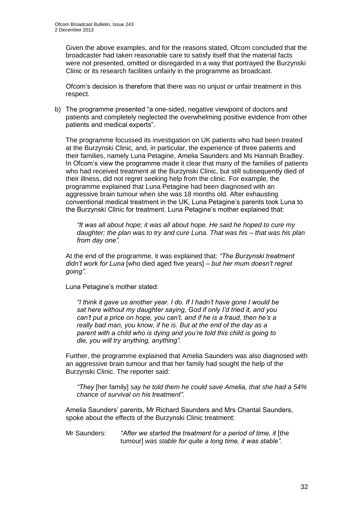Given the above examples, and for the reasons stated, Ofcom concluded that the broadcaster had taken reasonable care to satisfy itself that the material facts were not presented, omitted or disregarded in a way that portrayed the Burzynski Clinic or its research facilities unfairly in the programme as broadcast.

Ofcom's decision is therefore that there was no unjust or unfair treatment in this respect.

b) The programme presented "a one-sided, negative viewpoint of doctors and patients and completely neglected the overwhelming positive evidence from other patients and medical experts".

The programme focussed its investigation on UK patients who had been treated at the Burzynski Clinic, and, in particular, the experience of three patients and their families, namely Luna Petagine, Amelia Saunders and Ms Hannah Bradley. In Ofcom's view the programme made it clear that many of the families of patients who had received treatment at the Burzynski Clinic, but still subsequently died of their illness, did not regret seeking help from the clinic. For example, the programme explained that Luna Petagine had been diagnosed with an aggressive brain tumour when she was 18 months old. After exhausting conventional medical treatment in the UK, Luna Petagine's parents took Luna to the Burzynski Clinic for treatment. Luna Petagine's mother explained that:

*"It was all about hope; it was all about hope. He said he hoped to cure my daughter; the plan was to try and cure Luna. That was his – that was his plan from day one".*

At the end of the programme, it was explained that: *"The Burzynski treatment didn't work for Luna* [who died aged five years] *– but her mum doesn't regret going".*

Luna Petagine's mother stated:

*"I think it gave us another year. I do. If I hadn't have gone I would be sat here without my daughter saying, God if only I'd tried it, and you can't put a price on hope, you can't, and if he is a fraud, then he's a really bad man, you know, if he is. But at the end of the day as a parent with a child who is dying and you're told this child is going to die, you will try anything, anything".*

Further, the programme explained that Amelia Saunders was also diagnosed with an aggressive brain tumour and that her family had sought the help of the Burzynski Clinic. The reporter said:

*"They* [her family] *say he told them he could save Amelia, that she had a 54% chance of survival on his treatment".*

Amelia Saunders' parents, Mr Richard Saunders and Mrs Chantal Saunders, spoke about the effects of the Burzynski Clinic treatment:

Mr Saunders: *"After we started the treatment for a period of time, it* [the tumour] *was stable for quite a long time, it was stable".*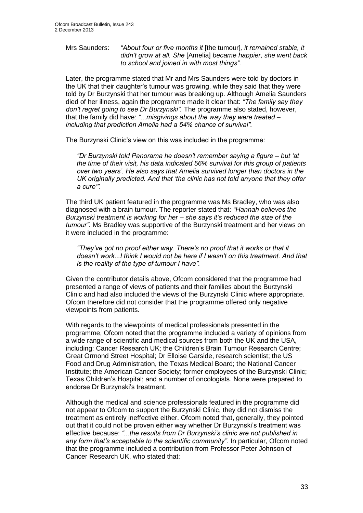Mrs Saunders: *"About four or five months it* [the tumour]*, it remained stable, it didn't grow at all. She* [Amelia] *became happier, she went back to school and joined in with most things".* 

Later, the programme stated that Mr and Mrs Saunders were told by doctors in the UK that their daughter's tumour was growing, while they said that they were told by Dr Burzynski that her tumour was breaking up. Although Amelia Saunders died of her illness, again the programme made it clear that: *"The family say they don't regret going to see Dr Burzynski".* The programme also stated, however, that the family did have: *"...misgivings about the way they were treated – including that prediction Amelia had a 54% chance of survival".*

The Burzynski Clinic's view on this was included in the programme:

*"Dr Burzynski told Panorama he doesn't remember saying a figure – but 'at the time of their visit, his data indicated 56% survival for this group of patients over two years'. He also says that Amelia survived longer than doctors in the UK originally predicted. And that 'the clinic has not told anyone that they offer a cure'".*

The third UK patient featured in the programme was Ms Bradley, who was also diagnosed with a brain tumour. The reporter stated that: *"Hannah believes the Burzynski treatment is working for her – she says it's reduced the size of the tumour".* Ms Bradley was supportive of the Burzynski treatment and her views on it were included in the programme:

*"They've got no proof either way. There's no proof that it works or that it doesn't work...I think I would not be here if I wasn't on this treatment. And that is the reality of the type of tumour I have".* 

Given the contributor details above, Ofcom considered that the programme had presented a range of views of patients and their families about the Burzynski Clinic and had also included the views of the Burzynski Clinic where appropriate. Ofcom therefore did not consider that the programme offered only negative viewpoints from patients.

With regards to the viewpoints of medical professionals presented in the programme, Ofcom noted that the programme included a variety of opinions from a wide range of scientific and medical sources from both the UK and the USA, including: Cancer Research UK; the Children's Brain Tumour Research Centre; Great Ormond Street Hospital; Dr Elloise Garside, research scientist; the US Food and Drug Administration, the Texas Medical Board; the National Cancer Institute; the American Cancer Society; former employees of the Burzynski Clinic; Texas Children's Hospital; and a number of oncologists. None were prepared to endorse Dr Burzynski's treatment.

Although the medical and science professionals featured in the programme did not appear to Ofcom to support the Burzynski Clinic, they did not dismiss the treatment as entirely ineffective either. Ofcom noted that, generally, they pointed out that it could not be proven either way whether Dr Burzynski's treatment was effective because: *"...the results from Dr Burzynski's clinic are not published in any form that's acceptable to the scientific community".* In particular, Ofcom noted that the programme included a contribution from Professor Peter Johnson of Cancer Research UK, who stated that: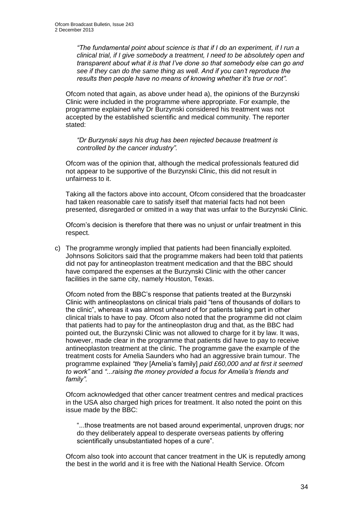*"The fundamental point about science is that if I do an experiment, if I run a clinical trial, if I give somebody a treatment, I need to be absolutely open and transparent about what it is that I've done so that somebody else can go and see if they can do the same thing as well. And if you can't reproduce the results then people have no means of knowing whether it's true or not".* 

Ofcom noted that again, as above under head a), the opinions of the Burzynski Clinic were included in the programme where appropriate. For example, the programme explained why Dr Burzynski considered his treatment was not accepted by the established scientific and medical community. The reporter stated:

*"Dr Burzynski says his drug has been rejected because treatment is controlled by the cancer industry".*

Ofcom was of the opinion that, although the medical professionals featured did not appear to be supportive of the Burzynski Clinic, this did not result in unfairness to it.

Taking all the factors above into account, Ofcom considered that the broadcaster had taken reasonable care to satisfy itself that material facts had not been presented, disregarded or omitted in a way that was unfair to the Burzynski Clinic.

Ofcom's decision is therefore that there was no unjust or unfair treatment in this respect.

c) The programme wrongly implied that patients had been financially exploited. Johnsons Solicitors said that the programme makers had been told that patients did not pay for antineoplaston treatment medication and that the BBC should have compared the expenses at the Burzynski Clinic with the other cancer facilities in the same city, namely Houston, Texas.

Ofcom noted from the BBC's response that patients treated at the Burzynski Clinic with antineoplastons on clinical trials paid "tens of thousands of dollars to the clinic", whereas it was almost unheard of for patients taking part in other clinical trials to have to pay. Ofcom also noted that the programme did not claim that patients had to pay for the antineoplaston drug and that, as the BBC had pointed out, the Burzynski Clinic was not allowed to charge for it by law. It was, however, made clear in the programme that patients did have to pay to receive antineoplaston treatment at the clinic. The programme gave the example of the treatment costs for Amelia Saunders who had an aggressive brain tumour. The programme explained *"they* [Amelia's family] *paid £60,000 and at first it seemed to work"* and *"...raising the money provided a focus for Amelia's friends and family".* 

Ofcom acknowledged that other cancer treatment centres and medical practices in the USA also charged high prices for treatment. It also noted the point on this issue made by the BBC:

"...those treatments are not based around experimental, unproven drugs; nor do they deliberately appeal to desperate overseas patients by offering scientifically unsubstantiated hopes of a cure".

Ofcom also took into account that cancer treatment in the UK is reputedly among the best in the world and it is free with the National Health Service. Ofcom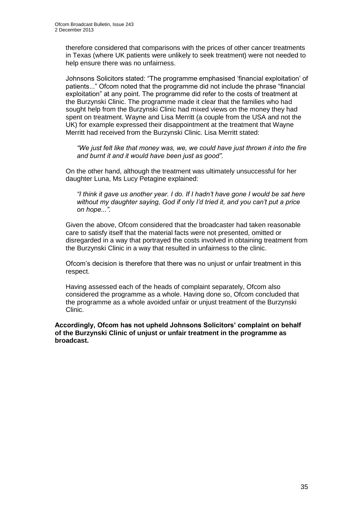therefore considered that comparisons with the prices of other cancer treatments in Texas (where UK patients were unlikely to seek treatment) were not needed to help ensure there was no unfairness.

Johnsons Solicitors stated: "The programme emphasised 'financial exploitation' of patients..." Ofcom noted that the programme did not include the phrase "financial exploitation" at any point. The programme did refer to the costs of treatment at the Burzynski Clinic. The programme made it clear that the families who had sought help from the Burzynski Clinic had mixed views on the money they had spent on treatment. Wayne and Lisa Merritt (a couple from the USA and not the UK) for example expressed their disappointment at the treatment that Wayne Merritt had received from the Burzynski Clinic. Lisa Merritt stated:

*"We just felt like that money was, we, we could have just thrown it into the fire and burnt it and it would have been just as good".*

On the other hand, although the treatment was ultimately unsuccessful for her daughter Luna, Ms Lucy Petagine explained:

*"I think it gave us another year. I do. If I hadn't have gone I would be sat here without my daughter saying, God if only I'd tried it, and you can't put a price on hope...".*

Given the above, Ofcom considered that the broadcaster had taken reasonable care to satisfy itself that the material facts were not presented, omitted or disregarded in a way that portrayed the costs involved in obtaining treatment from the Burzynski Clinic in a way that resulted in unfairness to the clinic.

Ofcom's decision is therefore that there was no unjust or unfair treatment in this respect.

Having assessed each of the heads of complaint separately, Ofcom also considered the programme as a whole. Having done so, Ofcom concluded that the programme as a whole avoided unfair or unjust treatment of the Burzynski Clinic.

**Accordingly, Ofcom has not upheld Johnsons Solicitors' complaint on behalf of the Burzynski Clinic of unjust or unfair treatment in the programme as broadcast.**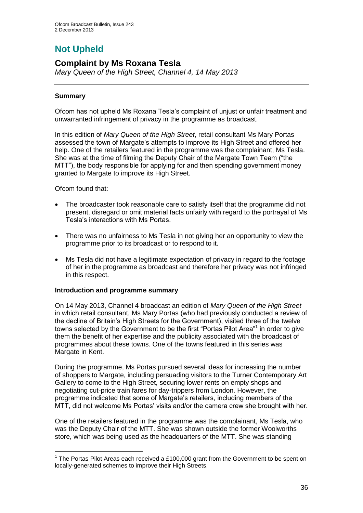# **Not Upheld**

## **Complaint by Ms Roxana Tesla**

*Mary Queen of the High Street, Channel 4, 14 May 2013*

#### **Summary**

Ofcom has not upheld Ms Roxana Tesla's complaint of unjust or unfair treatment and unwarranted infringement of privacy in the programme as broadcast.

In this edition of *Mary Queen of the High Street*, retail consultant Ms Mary Portas assessed the town of Margate's attempts to improve its High Street and offered her help. One of the retailers featured in the programme was the complainant, Ms Tesla. She was at the time of filming the Deputy Chair of the Margate Town Team ("the MTT"), the body responsible for applying for and then spending government money granted to Margate to improve its High Street.

Ofcom found that:

1

- The broadcaster took reasonable care to satisfy itself that the programme did not present, disregard or omit material facts unfairly with regard to the portrayal of Ms Tesla's interactions with Ms Portas.
- There was no unfairness to Ms Tesla in not giving her an opportunity to view the programme prior to its broadcast or to respond to it.
- Ms Tesla did not have a legitimate expectation of privacy in regard to the footage of her in the programme as broadcast and therefore her privacy was not infringed in this respect.

#### **Introduction and programme summary**

On 14 May 2013, Channel 4 broadcast an edition of *Mary Queen of the High Street* in which retail consultant, Ms Mary Portas (who had previously conducted a review of the decline of Britain's High Streets for the Government), visited three of the twelve towns selected by the Government to be the first "Portas Pilot Area"<sup>1</sup> in order to give them the benefit of her expertise and the publicity associated with the broadcast of programmes about these towns. One of the towns featured in this series was Margate in Kent.

During the programme, Ms Portas pursued several ideas for increasing the number of shoppers to Margate, including persuading visitors to the Turner Contemporary Art Gallery to come to the High Street, securing lower rents on empty shops and negotiating cut-price train fares for day-trippers from London. However, the programme indicated that some of Margate's retailers, including members of the MTT, did not welcome Ms Portas' visits and/or the camera crew she brought with her.

One of the retailers featured in the programme was the complainant, Ms Tesla, who was the Deputy Chair of the MTT. She was shown outside the former Woolworths store, which was being used as the headquarters of the MTT. She was standing

<sup>&</sup>lt;sup>1</sup> The Portas Pilot Areas each received a £100,000 grant from the Government to be spent on locally-generated schemes to improve their High Streets.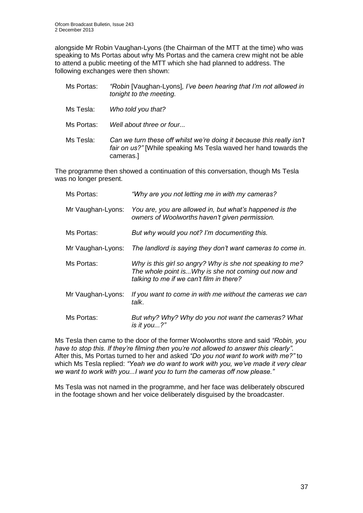alongside Mr Robin Vaughan-Lyons (the Chairman of the MTT at the time) who was speaking to Ms Portas about why Ms Portas and the camera crew might not be able to attend a public meeting of the MTT which she had planned to address. The following exchanges were then shown:

| Ms Portas: | "Robin [Vaughan-Lyons], I've been hearing that I'm not allowed in<br>tonight to the meeting. |
|------------|----------------------------------------------------------------------------------------------|
| Ms Tesla:  | Who told you that?                                                                           |

Ms Portas: *Well about three or four...*

Ms Tesla: *Can we turn these off whilst we're doing it because this really isn't fair on us?"* [While speaking Ms Tesla waved her hand towards the cameras.]

The programme then showed a continuation of this conversation, though Ms Tesla was no longer present.

| Ms Portas:        | "Why are you not letting me in with my cameras?                                                                                                              |
|-------------------|--------------------------------------------------------------------------------------------------------------------------------------------------------------|
| Mr Vaughan-Lyons: | You are, you are allowed in, but what's happened is the<br>owners of Woolworths haven't given permission.                                                    |
| Ms Portas:        | But why would you not? I'm documenting this.                                                                                                                 |
| Mr Vaughan-Lyons: | The landlord is saying they don't want cameras to come in.                                                                                                   |
| Ms Portas:        | Why is this girl so angry? Why is she not speaking to me?<br>The whole point isWhy is she not coming out now and<br>talking to me if we can't film in there? |
| Mr Vaughan-Lyons: | If you want to come in with me without the cameras we can<br>talk.                                                                                           |
| Ms Portas:        | But why? Why? Why do you not want the cameras? What<br>is it you?"                                                                                           |

Ms Tesla then came to the door of the former Woolworths store and said *"Robin, you have to stop this. If they're filming then you're not allowed to answer this clearly".*  After this, Ms Portas turned to her and asked *"Do you not want to work with me?"* to which Ms Tesla replied: *"Yeah we do want to work with you, we've made it very clear we want to work with you...I want you to turn the cameras off now please."*

Ms Tesla was not named in the programme, and her face was deliberately obscured in the footage shown and her voice deliberately disguised by the broadcaster.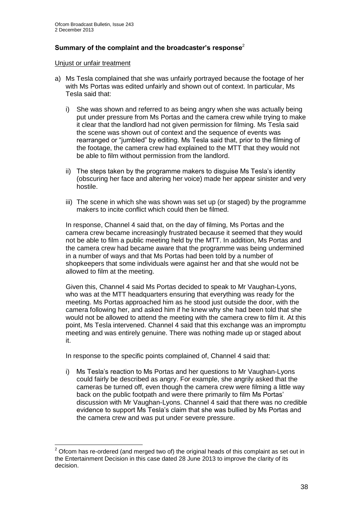#### **Summary of the complaint and the broadcaster's response**<sup>2</sup>

Unjust or unfair treatment

1

- a) Ms Tesla complained that she was unfairly portrayed because the footage of her with Ms Portas was edited unfairly and shown out of context. In particular, Ms Tesla said that:
	- i) She was shown and referred to as being angry when she was actually being put under pressure from Ms Portas and the camera crew while trying to make it clear that the landlord had not given permission for filming. Ms Tesla said the scene was shown out of context and the sequence of events was rearranged or "jumbled" by editing. Ms Tesla said that, prior to the filming of the footage, the camera crew had explained to the MTT that they would not be able to film without permission from the landlord.
	- ii) The steps taken by the programme makers to disguise Ms Tesla's identity (obscuring her face and altering her voice) made her appear sinister and very hostile.
	- iii) The scene in which she was shown was set up (or staged) by the programme makers to incite conflict which could then be filmed.

In response, Channel 4 said that, on the day of filming, Ms Portas and the camera crew became increasingly frustrated because it seemed that they would not be able to film a public meeting held by the MTT. In addition, Ms Portas and the camera crew had became aware that the programme was being undermined in a number of ways and that Ms Portas had been told by a number of shopkeepers that some individuals were against her and that she would not be allowed to film at the meeting.

Given this, Channel 4 said Ms Portas decided to speak to Mr Vaughan-Lyons, who was at the MTT headquarters ensuring that everything was ready for the meeting. Ms Portas approached him as he stood just outside the door, with the camera following her, and asked him if he knew why she had been told that she would not be allowed to attend the meeting with the camera crew to film it. At this point, Ms Tesla intervened. Channel 4 said that this exchange was an impromptu meeting and was entirely genuine. There was nothing made up or staged about it.

In response to the specific points complained of, Channel 4 said that:

i) Ms Tesla's reaction to Ms Portas and her questions to Mr Vaughan-Lyons could fairly be described as angry. For example, she angrily asked that the cameras be turned off, even though the camera crew were filming a little way back on the public footpath and were there primarily to film Ms Portas' discussion with Mr Vaughan-Lyons. Channel 4 said that there was no credible evidence to support Ms Tesla's claim that she was bullied by Ms Portas and the camera crew and was put under severe pressure.

 $2$  Ofcom has re-ordered (and merged two of) the original heads of this complaint as set out in the Entertainment Decision in this case dated 28 June 2013 to improve the clarity of its decision.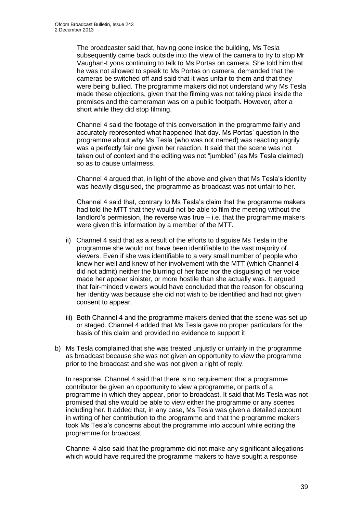The broadcaster said that, having gone inside the building, Ms Tesla subsequently came back outside into the view of the camera to try to stop Mr Vaughan-Lyons continuing to talk to Ms Portas on camera. She told him that he was not allowed to speak to Ms Portas on camera, demanded that the cameras be switched off and said that it was unfair to them and that they were being bullied. The programme makers did not understand why Ms Tesla made these objections, given that the filming was not taking place inside the premises and the cameraman was on a public footpath. However, after a short while they did stop filming.

Channel 4 said the footage of this conversation in the programme fairly and accurately represented what happened that day. Ms Portas' question in the programme about why Ms Tesla (who was not named) was reacting angrily was a perfectly fair one given her reaction. It said that the scene was not taken out of context and the editing was not "jumbled" (as Ms Tesla claimed) so as to cause unfairness.

Channel 4 argued that, in light of the above and given that Ms Tesla's identity was heavily disguised, the programme as broadcast was not unfair to her.

Channel 4 said that, contrary to Ms Tesla's claim that the programme makers had told the MTT that they would not be able to film the meeting without the landlord's permission, the reverse was true – i.e. that the programme makers were given this information by a member of the MTT.

- ii) Channel 4 said that as a result of the efforts to disguise Ms Tesla in the programme she would not have been identifiable to the vast majority of viewers. Even if she was identifiable to a very small number of people who knew her well and knew of her involvement with the MTT (which Channel 4 did not admit) neither the blurring of her face nor the disguising of her voice made her appear sinister, or more hostile than she actually was. It argued that fair-minded viewers would have concluded that the reason for obscuring her identity was because she did not wish to be identified and had not given consent to appear.
- iii) Both Channel 4 and the programme makers denied that the scene was set up or staged. Channel 4 added that Ms Tesla gave no proper particulars for the basis of this claim and provided no evidence to support it.
- b) Ms Tesla complained that she was treated unjustly or unfairly in the programme as broadcast because she was not given an opportunity to view the programme prior to the broadcast and she was not given a right of reply.

In response, Channel 4 said that there is no requirement that a programme contributor be given an opportunity to view a programme, or parts of a programme in which they appear, prior to broadcast. It said that Ms Tesla was not promised that she would be able to view either the programme or any scenes including her. It added that, in any case, Ms Tesla was given a detailed account in writing of her contribution to the programme and that the programme makers took Ms Tesla's concerns about the programme into account while editing the programme for broadcast.

Channel 4 also said that the programme did not make any significant allegations which would have required the programme makers to have sought a response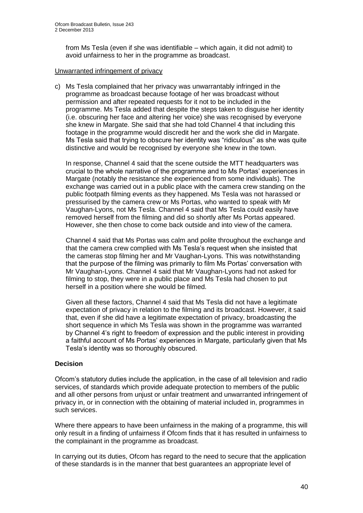from Ms Tesla (even if she was identifiable – which again, it did not admit) to avoid unfairness to her in the programme as broadcast.

#### Unwarranted infringement of privacy

c) Ms Tesla complained that her privacy was unwarrantably infringed in the programme as broadcast because footage of her was broadcast without permission and after repeated requests for it not to be included in the programme. Ms Tesla added that despite the steps taken to disguise her identity (i.e. obscuring her face and altering her voice) she was recognised by everyone she knew in Margate. She said that she had told Channel 4 that including this footage in the programme would discredit her and the work she did in Margate. Ms Tesla said that trying to obscure her identity was "ridiculous" as she was quite distinctive and would be recognised by everyone she knew in the town.

In response, Channel 4 said that the scene outside the MTT headquarters was crucial to the whole narrative of the programme and to Ms Portas' experiences in Margate (notably the resistance she experienced from some individuals). The exchange was carried out in a public place with the camera crew standing on the public footpath filming events as they happened. Ms Tesla was not harassed or pressurised by the camera crew or Ms Portas, who wanted to speak with Mr Vaughan-Lyons, not Ms Tesla. Channel 4 said that Ms Tesla could easily have removed herself from the filming and did so shortly after Ms Portas appeared. However, she then chose to come back outside and into view of the camera.

Channel 4 said that Ms Portas was calm and polite throughout the exchange and that the camera crew complied with Ms Tesla's request when she insisted that the cameras stop filming her and Mr Vaughan-Lyons. This was notwithstanding that the purpose of the filming was primarily to film Ms Portas' conversation with Mr Vaughan-Lyons. Channel 4 said that Mr Vaughan-Lyons had not asked for filming to stop, they were in a public place and Ms Tesla had chosen to put herself in a position where she would be filmed.

Given all these factors, Channel 4 said that Ms Tesla did not have a legitimate expectation of privacy in relation to the filming and its broadcast. However, it said that, even if she did have a legitimate expectation of privacy, broadcasting the short sequence in which Ms Tesla was shown in the programme was warranted by Channel 4's right to freedom of expression and the public interest in providing a faithful account of Ms Portas' experiences in Margate, particularly given that Ms Tesla's identity was so thoroughly obscured.

#### **Decision**

Ofcom's statutory duties include the application, in the case of all television and radio services, of standards which provide adequate protection to members of the public and all other persons from unjust or unfair treatment and unwarranted infringement of privacy in, or in connection with the obtaining of material included in, programmes in such services.

Where there appears to have been unfairness in the making of a programme, this will only result in a finding of unfairness if Ofcom finds that it has resulted in unfairness to the complainant in the programme as broadcast.

In carrying out its duties, Ofcom has regard to the need to secure that the application of these standards is in the manner that best guarantees an appropriate level of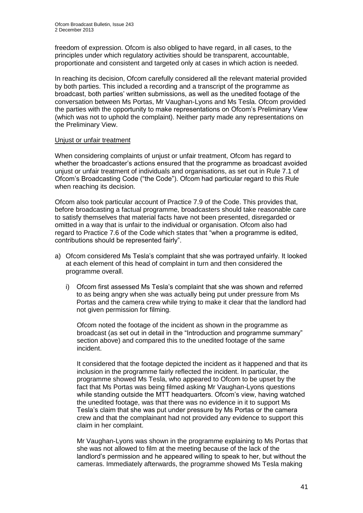freedom of expression. Ofcom is also obliged to have regard, in all cases, to the principles under which regulatory activities should be transparent, accountable, proportionate and consistent and targeted only at cases in which action is needed.

In reaching its decision, Ofcom carefully considered all the relevant material provided by both parties. This included a recording and a transcript of the programme as broadcast, both parties' written submissions, as well as the unedited footage of the conversation between Ms Portas, Mr Vaughan-Lyons and Ms Tesla. Ofcom provided the parties with the opportunity to make representations on Ofcom's Preliminary View (which was not to uphold the complaint). Neither party made any representations on the Preliminary View.

#### Unjust or unfair treatment

When considering complaints of unjust or unfair treatment, Ofcom has regard to whether the broadcaster's actions ensured that the programme as broadcast avoided unjust or unfair treatment of individuals and organisations, as set out in Rule 7.1 of Ofcom's Broadcasting Code ("the Code"). Ofcom had particular regard to this Rule when reaching its decision.

Ofcom also took particular account of Practice 7.9 of the Code. This provides that, before broadcasting a factual programme, broadcasters should take reasonable care to satisfy themselves that material facts have not been presented, disregarded or omitted in a way that is unfair to the individual or organisation. Ofcom also had regard to Practice 7.6 of the Code which states that "when a programme is edited, contributions should be represented fairly".

- a) Ofcom considered Ms Tesla's complaint that she was portrayed unfairly. It looked at each element of this head of complaint in turn and then considered the programme overall.
	- i) Ofcom first assessed Ms Tesla's complaint that she was shown and referred to as being angry when she was actually being put under pressure from Ms Portas and the camera crew while trying to make it clear that the landlord had not given permission for filming.

Ofcom noted the footage of the incident as shown in the programme as broadcast (as set out in detail in the "Introduction and programme summary" section above) and compared this to the unedited footage of the same incident.

It considered that the footage depicted the incident as it happened and that its inclusion in the programme fairly reflected the incident. In particular, the programme showed Ms Tesla, who appeared to Ofcom to be upset by the fact that Ms Portas was being filmed asking Mr Vaughan-Lyons questions while standing outside the MTT headquarters. Ofcom's view, having watched the unedited footage, was that there was no evidence in it to support Ms Tesla's claim that she was put under pressure by Ms Portas or the camera crew and that the complainant had not provided any evidence to support this claim in her complaint.

Mr Vaughan-Lyons was shown in the programme explaining to Ms Portas that she was not allowed to film at the meeting because of the lack of the landlord's permission and he appeared willing to speak to her, but without the cameras. Immediately afterwards, the programme showed Ms Tesla making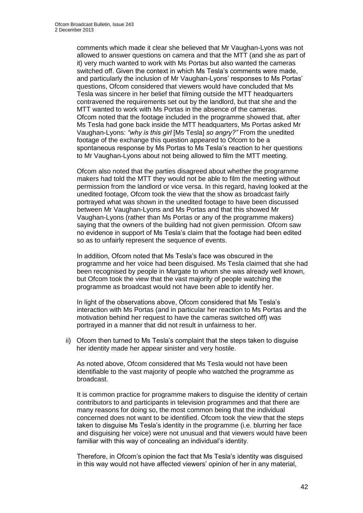comments which made it clear she believed that Mr Vaughan-Lyons was not allowed to answer questions on camera and that the MTT (and she as part of it) very much wanted to work with Ms Portas but also wanted the cameras switched off. Given the context in which Ms Tesla's comments were made, and particularly the inclusion of Mr Vaughan-Lyons' responses to Ms Portas' questions, Ofcom considered that viewers would have concluded that Ms Tesla was sincere in her belief that filming outside the MTT headquarters contravened the requirements set out by the landlord, but that she and the MTT wanted to work with Ms Portas in the absence of the cameras. Ofcom noted that the footage included in the programme showed that, after Ms Tesla had gone back inside the MTT headquarters, Ms Portas asked Mr Vaughan-Lyons: *"why is this girl* [Ms Tesla] *so angry?"* From the unedited footage of the exchange this question appeared to Ofcom to be a spontaneous response by Ms Portas to Ms Tesla's reaction to her questions to Mr Vaughan-Lyons about not being allowed to film the MTT meeting.

Ofcom also noted that the parties disagreed about whether the programme makers had told the MTT they would not be able to film the meeting without permission from the landlord or vice versa. In this regard, having looked at the unedited footage, Ofcom took the view that the show as broadcast fairly portrayed what was shown in the unedited footage to have been discussed between Mr Vaughan-Lyons and Ms Portas and that this showed Mr Vaughan-Lyons (rather than Ms Portas or any of the programme makers) saying that the owners of the building had not given permission. Ofcom saw no evidence in support of Ms Tesla's claim that the footage had been edited so as to unfairly represent the sequence of events.

In addition, Ofcom noted that Ms Tesla's face was obscured in the programme and her voice had been disguised. Ms Tesla claimed that she had been recognised by people in Margate to whom she was already well known, but Ofcom took the view that the vast majority of people watching the programme as broadcast would not have been able to identify her.

In light of the observations above, Ofcom considered that Ms Tesla's interaction with Ms Portas (and in particular her reaction to Ms Portas and the motivation behind her request to have the cameras switched off) was portrayed in a manner that did not result in unfairness to her.

ii) Ofcom then turned to Ms Tesla's complaint that the steps taken to disguise her identity made her appear sinister and very hostile.

As noted above, Ofcom considered that Ms Tesla would not have been identifiable to the vast majority of people who watched the programme as broadcast.

It is common practice for programme makers to disguise the identity of certain contributors to and participants in television programmes and that there are many reasons for doing so, the most common being that the individual concerned does not want to be identified. Ofcom took the view that the steps taken to disguise Ms Tesla's identity in the programme (i.e. blurring her face and disguising her voice) were not unusual and that viewers would have been familiar with this way of concealing an individual's identity.

Therefore, in Ofcom's opinion the fact that Ms Tesla's identity was disguised in this way would not have affected viewers' opinion of her in any material,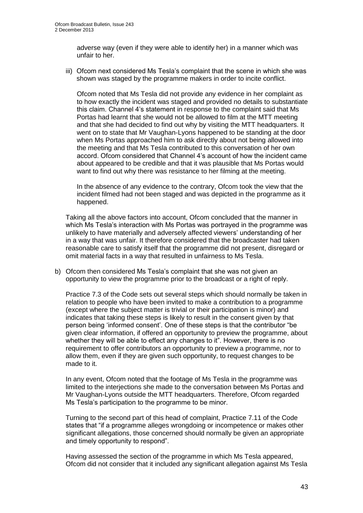adverse way (even if they were able to identify her) in a manner which was unfair to her.

iii) Ofcom next considered Ms Tesla's complaint that the scene in which she was shown was staged by the programme makers in order to incite conflict.

Ofcom noted that Ms Tesla did not provide any evidence in her complaint as to how exactly the incident was staged and provided no details to substantiate this claim. Channel 4's statement in response to the complaint said that Ms Portas had learnt that she would not be allowed to film at the MTT meeting and that she had decided to find out why by visiting the MTT headquarters. It went on to state that Mr Vaughan-Lyons happened to be standing at the door when Ms Portas approached him to ask directly about not being allowed into the meeting and that Ms Tesla contributed to this conversation of her own accord. Ofcom considered that Channel 4's account of how the incident came about appeared to be credible and that it was plausible that Ms Portas would want to find out why there was resistance to her filming at the meeting.

In the absence of any evidence to the contrary, Ofcom took the view that the incident filmed had not been staged and was depicted in the programme as it happened.

Taking all the above factors into account, Ofcom concluded that the manner in which Ms Tesla's interaction with Ms Portas was portrayed in the programme was unlikely to have materially and adversely affected viewers' understanding of her in a way that was unfair. It therefore considered that the broadcaster had taken reasonable care to satisfy itself that the programme did not present, disregard or omit material facts in a way that resulted in unfairness to Ms Tesla.

b) Ofcom then considered Ms Tesla's complaint that she was not given an opportunity to view the programme prior to the broadcast or a right of reply.

Practice 7.3 of the Code sets out several steps which should normally be taken in relation to people who have been invited to make a contribution to a programme (except where the subject matter is trivial or their participation is minor) and indicates that taking these steps is likely to result in the consent given by that person being 'informed consent'. One of these steps is that the contributor "be given clear information, if offered an opportunity to preview the programme, about whether they will be able to effect any changes to it". However, there is no requirement to offer contributors an opportunity to preview a programme, nor to allow them, even if they are given such opportunity, to request changes to be made to it.

In any event, Ofcom noted that the footage of Ms Tesla in the programme was limited to the interjections she made to the conversation between Ms Portas and Mr Vaughan-Lyons outside the MTT headquarters. Therefore, Ofcom regarded Ms Tesla's participation to the programme to be minor.

Turning to the second part of this head of complaint, Practice 7.11 of the Code states that "if a programme alleges wrongdoing or incompetence or makes other significant allegations, those concerned should normally be given an appropriate and timely opportunity to respond".

Having assessed the section of the programme in which Ms Tesla appeared, Ofcom did not consider that it included any significant allegation against Ms Tesla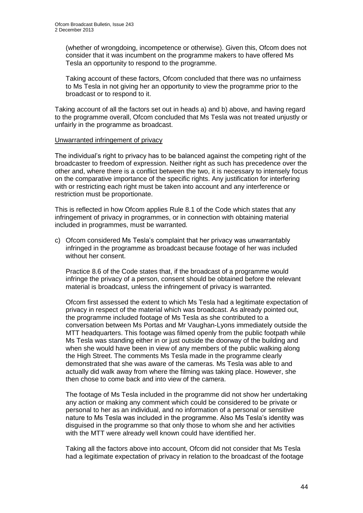(whether of wrongdoing, incompetence or otherwise). Given this, Ofcom does not consider that it was incumbent on the programme makers to have offered Ms Tesla an opportunity to respond to the programme.

Taking account of these factors, Ofcom concluded that there was no unfairness to Ms Tesla in not giving her an opportunity to view the programme prior to the broadcast or to respond to it.

Taking account of all the factors set out in heads a) and b) above, and having regard to the programme overall, Ofcom concluded that Ms Tesla was not treated unjustly or unfairly in the programme as broadcast.

#### Unwarranted infringement of privacy

The individual's right to privacy has to be balanced against the competing right of the broadcaster to freedom of expression. Neither right as such has precedence over the other and, where there is a conflict between the two, it is necessary to intensely focus on the comparative importance of the specific rights. Any justification for interfering with or restricting each right must be taken into account and any interference or restriction must be proportionate.

This is reflected in how Ofcom applies Rule 8.1 of the Code which states that any infringement of privacy in programmes, or in connection with obtaining material included in programmes, must be warranted.

c) Ofcom considered Ms Tesla's complaint that her privacy was unwarrantably infringed in the programme as broadcast because footage of her was included without her consent.

Practice 8.6 of the Code states that, if the broadcast of a programme would infringe the privacy of a person, consent should be obtained before the relevant material is broadcast, unless the infringement of privacy is warranted.

Ofcom first assessed the extent to which Ms Tesla had a legitimate expectation of privacy in respect of the material which was broadcast. As already pointed out, the programme included footage of Ms Tesla as she contributed to a conversation between Ms Portas and Mr Vaughan-Lyons immediately outside the MTT headquarters. This footage was filmed openly from the public footpath while Ms Tesla was standing either in or just outside the doorway of the building and when she would have been in view of any members of the public walking along the High Street. The comments Ms Tesla made in the programme clearly demonstrated that she was aware of the cameras. Ms Tesla was able to and actually did walk away from where the filming was taking place. However, she then chose to come back and into view of the camera.

The footage of Ms Tesla included in the programme did not show her undertaking any action or making any comment which could be considered to be private or personal to her as an individual, and no information of a personal or sensitive nature to Ms Tesla was included in the programme. Also Ms Tesla's identity was disguised in the programme so that only those to whom she and her activities with the MTT were already well known could have identified her.

Taking all the factors above into account, Ofcom did not consider that Ms Tesla had a legitimate expectation of privacy in relation to the broadcast of the footage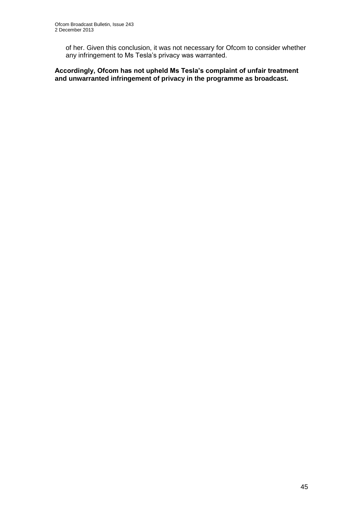of her. Given this conclusion, it was not necessary for Ofcom to consider whether any infringement to Ms Tesla's privacy was warranted.

**Accordingly, Ofcom has not upheld Ms Tesla's complaint of unfair treatment and unwarranted infringement of privacy in the programme as broadcast.**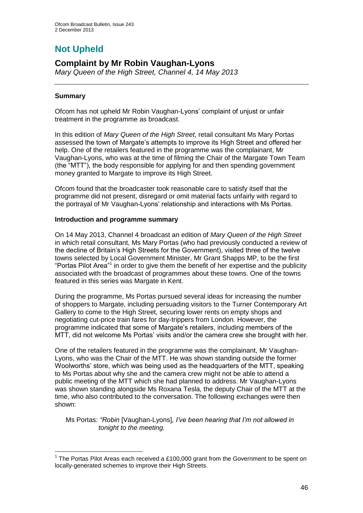# **Not Upheld**

## **Complaint by Mr Robin Vaughan-Lyons**

*Mary Queen of the High Street, Channel 4, 14 May 2013*

#### **Summary**

1

Ofcom has not upheld Mr Robin Vaughan-Lyons' complaint of unjust or unfair treatment in the programme as broadcast.

In this edition of *Mary Queen of the High Street*, retail consultant Ms Mary Portas assessed the town of Margate's attempts to improve its High Street and offered her help. One of the retailers featured in the programme was the complainant, Mr Vaughan-Lyons, who was at the time of filming the Chair of the Margate Town Team (the "MTT"), the body responsible for applying for and then spending government money granted to Margate to improve its High Street.

Ofcom found that the broadcaster took reasonable care to satisfy itself that the programme did not present, disregard or omit material facts unfairly with regard to the portrayal of Mr Vaughan-Lyons' relationship and interactions with Ms Portas.

#### **Introduction and programme summary**

On 14 May 2013, Channel 4 broadcast an edition of *Mary Queen of the High Street* in which retail consultant, Ms Mary Portas (who had previously conducted a review of the decline of Britain's High Streets for the Government), visited three of the twelve towns selected by Local Government Minister, Mr Grant Shapps MP, to be the first "Portas Pilot Area"<sup>1</sup> in order to give them the benefit of her expertise and the publicity associated with the broadcast of programmes about these towns. One of the towns featured in this series was Margate in Kent.

During the programme, Ms Portas pursued several ideas for increasing the number of shoppers to Margate, including persuading visitors to the Turner Contemporary Art Gallery to come to the High Street, securing lower rents on empty shops and negotiating cut-price train fares for day-trippers from London. However, the programme indicated that some of Margate's retailers, including members of the MTT, did not welcome Ms Portas' visits and/or the camera crew she brought with her.

One of the retailers featured in the programme was the complainant, Mr Vaughan-Lyons, who was the Chair of the MTT. He was shown standing outside the former Woolworths' store, which was being used as the headquarters of the MTT, speaking to Ms Portas about why she and the camera crew might not be able to attend a public meeting of the MTT which she had planned to address. Mr Vaughan-Lyons was shown standing alongside Ms Roxana Tesla, the deputy Chair of the MTT at the time, who also contributed to the conversation. The following exchanges were then shown:

Ms Portas: *"Robin* [Vaughan-Lyons]*, I've been hearing that I'm not allowed in tonight to the meeting.*

<sup>&</sup>lt;sup>1</sup> The Portas Pilot Areas each received a £100,000 grant from the Government to be spent on locally-generated schemes to improve their High Streets.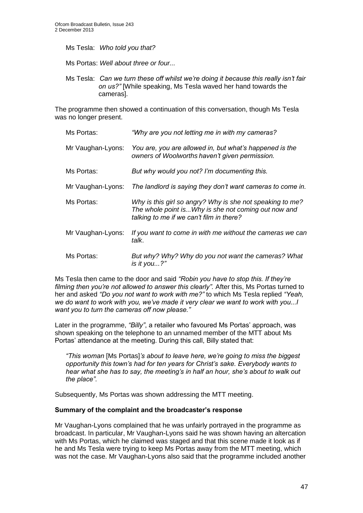- Ms Tesla: *Who told you that?*
- Ms Portas: *Well about three or four...*
- Ms Tesla: *Can we turn these off whilst we're doing it because this really isn't fair on us?"* [While speaking, Ms Tesla waved her hand towards the cameras].

The programme then showed a continuation of this conversation, though Ms Tesla was no longer present.

| Ms Portas:        | "Why are you not letting me in with my cameras?                                                                                                              |
|-------------------|--------------------------------------------------------------------------------------------------------------------------------------------------------------|
| Mr Vaughan-Lyons: | You are, you are allowed in, but what's happened is the<br>owners of Woolworths haven't given permission.                                                    |
| Ms Portas:        | But why would you not? I'm documenting this.                                                                                                                 |
| Mr Vaughan-Lyons: | The landlord is saying they don't want cameras to come in.                                                                                                   |
| Ms Portas:        | Why is this girl so angry? Why is she not speaking to me?<br>The whole point isWhy is she not coming out now and<br>talking to me if we can't film in there? |
| Mr Vaughan-Lyons: | If you want to come in with me without the cameras we can<br>talk.                                                                                           |
| Ms Portas:        | But why? Why? Why do you not want the cameras? What<br>is it you?"                                                                                           |

Ms Tesla then came to the door and said *"Robin you have to stop this. If they're filming then you're not allowed to answer this clearly".* After this, Ms Portas turned to her and asked *"Do you not want to work with me?"* to which Ms Tesla replied *"Yeah, we do want to work with you, we've made it very clear we want to work with you...I want you to turn the cameras off now please."*

Later in the programme, *"Billy"*, a retailer who favoured Ms Portas' approach, was shown speaking on the telephone to an unnamed member of the MTT about Ms Portas' attendance at the meeting. During this call, Billy stated that:

*"This woman* [Ms Portas]*'s about to leave here, we're going to miss the biggest opportunity this town's had for ten years for Christ's sake. Everybody wants to hear what she has to say, the meeting's in half an hour, she's about to walk out the place"*.

Subsequently, Ms Portas was shown addressing the MTT meeting.

#### **Summary of the complaint and the broadcaster's response**

Mr Vaughan-Lyons complained that he was unfairly portrayed in the programme as broadcast. In particular, Mr Vaughan-Lyons said he was shown having an altercation with Ms Portas, which he claimed was staged and that this scene made it look as if he and Ms Tesla were trying to keep Ms Portas away from the MTT meeting, which was not the case. Mr Vaughan-Lyons also said that the programme included another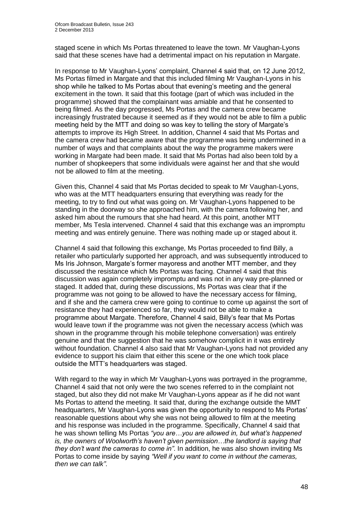staged scene in which Ms Portas threatened to leave the town. Mr Vaughan-Lyons said that these scenes have had a detrimental impact on his reputation in Margate.

In response to Mr Vaughan-Lyons' complaint, Channel 4 said that, on 12 June 2012, Ms Portas filmed in Margate and that this included filming Mr Vaughan-Lyons in his shop while he talked to Ms Portas about that evening's meeting and the general excitement in the town. It said that this footage (part of which was included in the programme) showed that the complainant was amiable and that he consented to being filmed. As the day progressed, Ms Portas and the camera crew became increasingly frustrated because it seemed as if they would not be able to film a public meeting held by the MTT and doing so was key to telling the story of Margate's attempts to improve its High Street. In addition, Channel 4 said that Ms Portas and the camera crew had became aware that the programme was being undermined in a number of ways and that complaints about the way the programme makers were working in Margate had been made. It said that Ms Portas had also been told by a number of shopkeepers that some individuals were against her and that she would not be allowed to film at the meeting.

Given this, Channel 4 said that Ms Portas decided to speak to Mr Vaughan-Lyons, who was at the MTT headquarters ensuring that everything was ready for the meeting, to try to find out what was going on. Mr Vaughan-Lyons happened to be standing in the doorway so she approached him, with the camera following her, and asked him about the rumours that she had heard. At this point, another MTT member, Ms Tesla intervened. Channel 4 said that this exchange was an impromptu meeting and was entirely genuine. There was nothing made up or staged about it.

Channel 4 said that following this exchange, Ms Portas proceeded to find Billy, a retailer who particularly supported her approach, and was subsequently introduced to Ms Iris Johnson, Margate's former mayoress and another MTT member, and they discussed the resistance which Ms Portas was facing. Channel 4 said that this discussion was again completely impromptu and was not in any way pre-planned or staged. It added that, during these discussions, Ms Portas was clear that if the programme was not going to be allowed to have the necessary access for filming, and if she and the camera crew were going to continue to come up against the sort of resistance they had experienced so far, they would not be able to make a programme about Margate. Therefore, Channel 4 said, Billy's fear that Ms Portas would leave town if the programme was not given the necessary access (which was shown in the programme through his mobile telephone conversation) was entirely genuine and that the suggestion that he was somehow complicit in it was entirely without foundation. Channel 4 also said that Mr Vaughan-Lyons had not provided any evidence to support his claim that either this scene or the one which took place outside the MTT's headquarters was staged.

With regard to the way in which Mr Vaughan-Lyons was portrayed in the programme. Channel 4 said that not only were the two scenes referred to in the complaint not staged, but also they did not make Mr Vaughan-Lyons appear as if he did not want Ms Portas to attend the meeting. It said that, during the exchange outside the MMT headquarters, Mr Vaughan-Lyons was given the opportunity to respond to Ms Portas' reasonable questions about why she was not being allowed to film at the meeting and his response was included in the programme. Specifically, Channel 4 said that he was shown telling Ms Portas *"you are…you are allowed in, but what's happened is, the owners of Woolworth's haven't given permission…the landlord is saying that they don't want the cameras to come in"*. In addition, he was also shown inviting Ms Portas to come inside by saying *"Well if you want to come in without the cameras, then we can talk"*.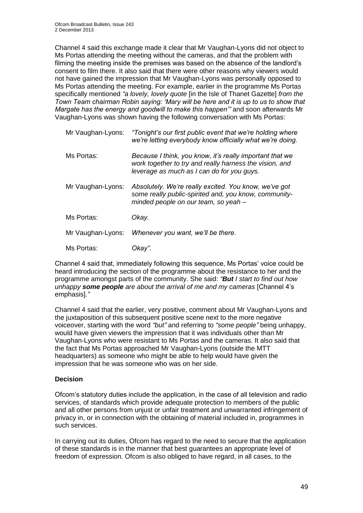Channel 4 said this exchange made it clear that Mr Vaughan-Lyons did not object to Ms Portas attending the meeting without the cameras, and that the problem with filming the meeting inside the premises was based on the absence of the landlord's consent to film there. It also said that there were other reasons why viewers would not have gained the impression that Mr Vaughan-Lyons was personally opposed to Ms Portas attending the meeting. For example, earlier in the programme Ms Portas specifically mentioned *"a lovely, lovely quote* [in the Isle of Thanet Gazette] *from the Town Team chairman Robin saying: 'Mary will be here and it is up to us to show that Margate has the energy and goodwill to make this happen'"* and soon afterwards Mr Vaughan-Lyons was shown having the following conversation with Ms Portas:

| Mr Vaughan-Lyons: | "Tonight's our first public event that we're holding where<br>we're letting everybody know officially what we're doing.                                           |
|-------------------|-------------------------------------------------------------------------------------------------------------------------------------------------------------------|
| Ms Portas:        | Because I think, you know, it's really important that we<br>work together to try and really harness the vision, and<br>leverage as much as I can do for you guys. |
| Mr Vaughan-Lyons: | Absolutely. We're really excited. You know, we've got<br>some really public-spirited and, you know, community-<br>minded people on our team, so yeah -            |
| Ms Portas:        | Okay.                                                                                                                                                             |
| Mr Vaughan-Lyons: | Whenever you want, we'll be there.                                                                                                                                |
| Ms Portas:        | Okay".                                                                                                                                                            |

Channel 4 said that, immediately following this sequence, Ms Portas' voice could be heard introducing the section of the programme about the resistance to her and the programme amongst parts of the community. She said: *"But I start to find out how unhappy some people are about the arrival of me and my cameras* [Channel 4's emphasis]*."* 

Channel 4 said that the earlier, very positive, comment about Mr Vaughan-Lyons and the juxtaposition of this subsequent positive scene next to the more negative voiceover, starting with the word *"but"* and referring to *"some people"* being unhappy, would have given viewers the impression that it was individuals other than Mr Vaughan-Lyons who were resistant to Ms Portas and the cameras. It also said that the fact that Ms Portas approached Mr Vaughan-Lyons (outside the MTT headquarters) as someone who might be able to help would have given the impression that he was someone who was on her side.

#### **Decision**

Ofcom's statutory duties include the application, in the case of all television and radio services, of standards which provide adequate protection to members of the public and all other persons from unjust or unfair treatment and unwarranted infringement of privacy in, or in connection with the obtaining of material included in, programmes in such services.

In carrying out its duties, Ofcom has regard to the need to secure that the application of these standards is in the manner that best guarantees an appropriate level of freedom of expression. Ofcom is also obliged to have regard, in all cases, to the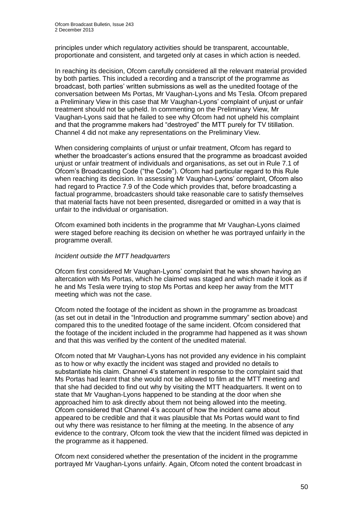principles under which regulatory activities should be transparent, accountable, proportionate and consistent, and targeted only at cases in which action is needed.

In reaching its decision, Ofcom carefully considered all the relevant material provided by both parties. This included a recording and a transcript of the programme as broadcast, both parties' written submissions as well as the unedited footage of the conversation between Ms Portas, Mr Vaughan-Lyons and Ms Tesla. Ofcom prepared a Preliminary View in this case that Mr Vaughan-Lyons' complaint of unjust or unfair treatment should not be upheld. In commenting on the Preliminary View, Mr Vaughan-Lyons said that he failed to see why Ofcom had not upheld his complaint and that the programme makers had "destroyed" the MTT purely for TV titillation. Channel 4 did not make any representations on the Preliminary View.

When considering complaints of unjust or unfair treatment, Ofcom has regard to whether the broadcaster's actions ensured that the programme as broadcast avoided unjust or unfair treatment of individuals and organisations, as set out in Rule 7.1 of Ofcom's Broadcasting Code ("the Code"). Ofcom had particular regard to this Rule when reaching its decision. In assessing Mr Vaughan-Lyons' complaint, Ofcom also had regard to Practice 7.9 of the Code which provides that, before broadcasting a factual programme, broadcasters should take reasonable care to satisfy themselves that material facts have not been presented, disregarded or omitted in a way that is unfair to the individual or organisation.

Ofcom examined both incidents in the programme that Mr Vaughan-Lyons claimed were staged before reaching its decision on whether he was portrayed unfairly in the programme overall.

#### *Incident outside the MTT headquarters*

Ofcom first considered Mr Vaughan-Lyons' complaint that he was shown having an altercation with Ms Portas, which he claimed was staged and which made it look as if he and Ms Tesla were trying to stop Ms Portas and keep her away from the MTT meeting which was not the case.

Ofcom noted the footage of the incident as shown in the programme as broadcast (as set out in detail in the "Introduction and programme summary" section above) and compared this to the unedited footage of the same incident. Ofcom considered that the footage of the incident included in the programme had happened as it was shown and that this was verified by the content of the unedited material.

Ofcom noted that Mr Vaughan-Lyons has not provided any evidence in his complaint as to how or why exactly the incident was staged and provided no details to substantiate his claim. Channel 4's statement in response to the complaint said that Ms Portas had learnt that she would not be allowed to film at the MTT meeting and that she had decided to find out why by visiting the MTT headquarters. It went on to state that Mr Vaughan-Lyons happened to be standing at the door when she approached him to ask directly about them not being allowed into the meeting. Ofcom considered that Channel 4's account of how the incident came about appeared to be credible and that it was plausible that Ms Portas would want to find out why there was resistance to her filming at the meeting. In the absence of any evidence to the contrary, Ofcom took the view that the incident filmed was depicted in the programme as it happened.

Ofcom next considered whether the presentation of the incident in the programme portrayed Mr Vaughan-Lyons unfairly. Again, Ofcom noted the content broadcast in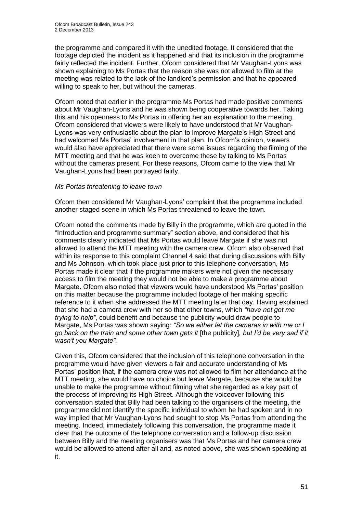the programme and compared it with the unedited footage. It considered that the footage depicted the incident as it happened and that its inclusion in the programme fairly reflected the incident. Further, Ofcom considered that Mr Vaughan-Lyons was shown explaining to Ms Portas that the reason she was not allowed to film at the meeting was related to the lack of the landlord's permission and that he appeared willing to speak to her, but without the cameras.

Ofcom noted that earlier in the programme Ms Portas had made positive comments about Mr Vaughan-Lyons and he was shown being cooperative towards her. Taking this and his openness to Ms Portas in offering her an explanation to the meeting, Ofcom considered that viewers were likely to have understood that Mr Vaughan-Lyons was very enthusiastic about the plan to improve Margate's High Street and had welcomed Ms Portas' involvement in that plan. In Ofcom's opinion, viewers would also have appreciated that there were some issues regarding the filming of the MTT meeting and that he was keen to overcome these by talking to Ms Portas without the cameras present. For these reasons, Ofcom came to the view that Mr Vaughan-Lyons had been portrayed fairly.

#### *Ms Portas threatening to leave town*

Ofcom then considered Mr Vaughan-Lyons' complaint that the programme included another staged scene in which Ms Portas threatened to leave the town.

Ofcom noted the comments made by Billy in the programme, which are quoted in the "Introduction and programme summary" section above, and considered that his comments clearly indicated that Ms Portas would leave Margate if she was not allowed to attend the MTT meeting with the camera crew. Ofcom also observed that within its response to this complaint Channel 4 said that during discussions with Billy and Ms Johnson, which took place just prior to this telephone conversation, Ms Portas made it clear that if the programme makers were not given the necessary access to film the meeting they would not be able to make a programme about Margate. Ofcom also noted that viewers would have understood Ms Portas' position on this matter because the programme included footage of her making specific reference to it when she addressed the MTT meeting later that day. Having explained that she had a camera crew with her so that other towns, which *"have not got me trying to help"*, could benefit and because the publicity would draw people to Margate, Ms Portas was shown saying: *"So we either let the cameras in with me or I go back on the train and some other town gets it* [the publicity]*, but I'd be very sad if it wasn't you Margate"*.

Given this, Ofcom considered that the inclusion of this telephone conversation in the programme would have given viewers a fair and accurate understanding of Ms Portas' position that, if the camera crew was not allowed to film her attendance at the MTT meeting, she would have no choice but leave Margate, because she would be unable to make the programme without filming what she regarded as a key part of the process of improving its High Street. Although the voiceover following this conversation stated that Billy had been talking to the organisers of the meeting, the programme did not identify the specific individual to whom he had spoken and in no way implied that Mr Vaughan-Lyons had sought to stop Ms Portas from attending the meeting. Indeed, immediately following this conversation, the programme made it clear that the outcome of the telephone conversation and a follow-up discussion between Billy and the meeting organisers was that Ms Portas and her camera crew would be allowed to attend after all and, as noted above, she was shown speaking at it.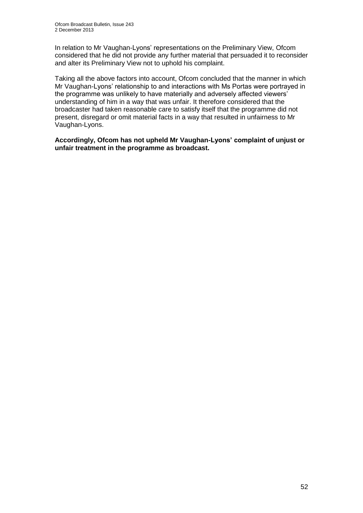In relation to Mr Vaughan-Lyons' representations on the Preliminary View, Ofcom considered that he did not provide any further material that persuaded it to reconsider and alter its Preliminary View not to uphold his complaint.

Taking all the above factors into account, Ofcom concluded that the manner in which Mr Vaughan-Lyons' relationship to and interactions with Ms Portas were portrayed in the programme was unlikely to have materially and adversely affected viewers' understanding of him in a way that was unfair. It therefore considered that the broadcaster had taken reasonable care to satisfy itself that the programme did not present, disregard or omit material facts in a way that resulted in unfairness to Mr Vaughan-Lyons.

**Accordingly, Ofcom has not upheld Mr Vaughan-Lyons' complaint of unjust or unfair treatment in the programme as broadcast.**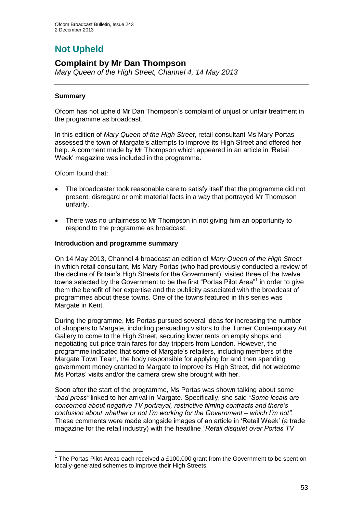# **Not Upheld**

## **Complaint by Mr Dan Thompson**

*Mary Queen of the High Street, Channel 4, 14 May 2013*

#### **Summary**

Ofcom has not upheld Mr Dan Thompson's complaint of unjust or unfair treatment in the programme as broadcast.

In this edition of *Mary Queen of the High Street*, retail consultant Ms Mary Portas assessed the town of Margate's attempts to improve its High Street and offered her help. A comment made by Mr Thompson which appeared in an article in 'Retail Week' magazine was included in the programme.

Ofcom found that:

1

- The broadcaster took reasonable care to satisfy itself that the programme did not present, disregard or omit material facts in a way that portrayed Mr Thompson unfairly.
- There was no unfairness to Mr Thompson in not giving him an opportunity to respond to the programme as broadcast.

#### **Introduction and programme summary**

On 14 May 2013, Channel 4 broadcast an edition of *Mary Queen of the High Street* in which retail consultant, Ms Mary Portas (who had previously conducted a review of the decline of Britain's High Streets for the Government), visited three of the twelve towns selected by the Government to be the first "Portas Pilot Area"<sup>1</sup> in order to give them the benefit of her expertise and the publicity associated with the broadcast of programmes about these towns. One of the towns featured in this series was Margate in Kent.

During the programme, Ms Portas pursued several ideas for increasing the number of shoppers to Margate, including persuading visitors to the Turner Contemporary Art Gallery to come to the High Street, securing lower rents on empty shops and negotiating cut-price train fares for day-trippers from London. However, the programme indicated that some of Margate's retailers, including members of the Margate Town Team, the body responsible for applying for and then spending government money granted to Margate to improve its High Street, did not welcome Ms Portas' visits and/or the camera crew she brought with her.

Soon after the start of the programme, Ms Portas was shown talking about some *"bad press"* linked to her arrival in Margate. Specifically, she said *"Some locals are concerned about negative TV portrayal, restrictive filming contracts and there's confusion about whether or not I'm working for the Government – which I'm not".*  These comments were made alongside images of an article in 'Retail Week' (a trade magazine for the retail industry) with the headline *"Retail disquiet over Portas TV* 

<sup>&</sup>lt;sup>1</sup> The Portas Pilot Areas each received a £100,000 grant from the Government to be spent on locally-generated schemes to improve their High Streets.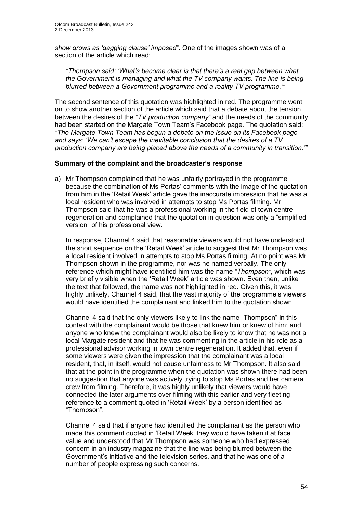*show grows as 'gagging clause' imposed"*. One of the images shown was of a section of the article which read:

*"Thompson said: 'What's become clear is that there's a real gap between what the Government is managing and what the TV company wants. The line is being blurred between a Government programme and a reality TV programme.'"* 

The second sentence of this quotation was highlighted in red. The programme went on to show another section of the article which said that a debate about the tension between the desires of the *"TV production company"* and the needs of the community had been started on the Margate Town Team's Facebook page. The quotation said: *"The Margate Town Team has begun a debate on the issue on its Facebook page and says: 'We can't escape the inevitable conclusion that the desires of a TV production company are being placed above the needs of a community in transition.'"*

#### **Summary of the complaint and the broadcaster's response**

a) Mr Thompson complained that he was unfairly portrayed in the programme because the combination of Ms Portas' comments with the image of the quotation from him in the 'Retail Week' article gave the inaccurate impression that he was a local resident who was involved in attempts to stop Ms Portas filming. Mr Thompson said that he was a professional working in the field of town centre regeneration and complained that the quotation in question was only a "simplified version" of his professional view.

In response, Channel 4 said that reasonable viewers would not have understood the short sequence on the 'Retail Week' article to suggest that Mr Thompson was a local resident involved in attempts to stop Ms Portas filming. At no point was Mr Thompson shown in the programme, nor was he named verbally. The only reference which might have identified him was the name *"Thompson"*, which was very briefly visible when the 'Retail Week' article was shown. Even then, unlike the text that followed, the name was not highlighted in red. Given this, it was highly unlikely, Channel 4 said, that the vast majority of the programme's viewers would have identified the complainant and linked him to the quotation shown.

Channel 4 said that the only viewers likely to link the name "Thompson" in this context with the complainant would be those that knew him or knew of him; and anyone who knew the complainant would also be likely to know that he was not a local Margate resident and that he was commenting in the article in his role as a professional advisor working in town centre regeneration. It added that, even if some viewers were given the impression that the complainant was a local resident, that, in itself, would not cause unfairness to Mr Thompson. It also said that at the point in the programme when the quotation was shown there had been no suggestion that anyone was actively trying to stop Ms Portas and her camera crew from filming. Therefore, it was highly unlikely that viewers would have connected the later arguments over filming with this earlier and very fleeting reference to a comment quoted in 'Retail Week' by a person identified as "Thompson".

Channel 4 said that if anyone had identified the complainant as the person who made this comment quoted in 'Retail Week' they would have taken it at face value and understood that Mr Thompson was someone who had expressed concern in an industry magazine that the line was being blurred between the Government's initiative and the television series, and that he was one of a number of people expressing such concerns.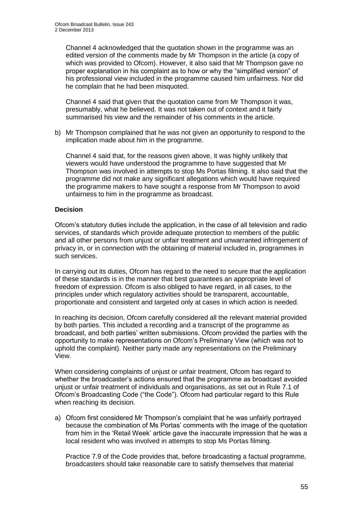Channel 4 acknowledged that the quotation shown in the programme was an edited version of the comments made by Mr Thompson in the article (a copy of which was provided to Ofcom). However, it also said that Mr Thompson gave no proper explanation in his complaint as to how or why the "simplified version" of his professional view included in the programme caused him unfairness. Nor did he complain that he had been misquoted.

Channel 4 said that given that the quotation came from Mr Thompson it was, presumably, what he believed. It was not taken out of context and it fairly summarised his view and the remainder of his comments in the article.

b) Mr Thompson complained that he was not given an opportunity to respond to the implication made about him in the programme.

Channel 4 said that, for the reasons given above, it was highly unlikely that viewers would have understood the programme to have suggested that Mr Thompson was involved in attempts to stop Ms Portas filming. It also said that the programme did not make any significant allegations which would have required the programme makers to have sought a response from Mr Thompson to avoid unfairness to him in the programme as broadcast.

#### **Decision**

Ofcom's statutory duties include the application, in the case of all television and radio services, of standards which provide adequate protection to members of the public and all other persons from unjust or unfair treatment and unwarranted infringement of privacy in, or in connection with the obtaining of material included in, programmes in such services.

In carrying out its duties, Ofcom has regard to the need to secure that the application of these standards is in the manner that best guarantees an appropriate level of freedom of expression. Ofcom is also obliged to have regard, in all cases, to the principles under which regulatory activities should be transparent, accountable, proportionate and consistent and targeted only at cases in which action is needed.

In reaching its decision, Ofcom carefully considered all the relevant material provided by both parties. This included a recording and a transcript of the programme as broadcast, and both parties' written submissions. Ofcom provided the parties with the opportunity to make representations on Ofcom's Preliminary View (which was not to uphold the complaint). Neither party made any representations on the Preliminary View.

When considering complaints of unjust or unfair treatment, Ofcom has regard to whether the broadcaster's actions ensured that the programme as broadcast avoided unjust or unfair treatment of individuals and organisations, as set out in Rule 7.1 of Ofcom's Broadcasting Code ("the Code"). Ofcom had particular regard to this Rule when reaching its decision.

a) Ofcom first considered Mr Thompson's complaint that he was unfairly portrayed because the combination of Ms Portas' comments with the image of the quotation from him in the 'Retail Week' article gave the inaccurate impression that he was a local resident who was involved in attempts to stop Ms Portas filming.

Practice 7.9 of the Code provides that, before broadcasting a factual programme, broadcasters should take reasonable care to satisfy themselves that material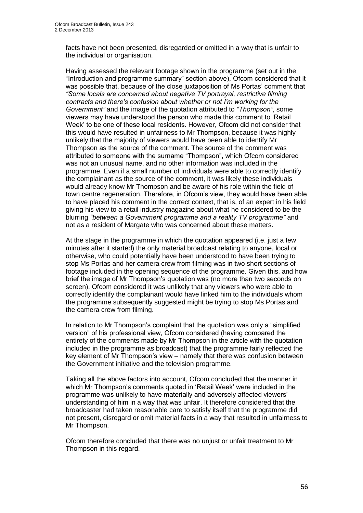facts have not been presented, disregarded or omitted in a way that is unfair to the individual or organisation.

Having assessed the relevant footage shown in the programme (set out in the "Introduction and programme summary" section above), Ofcom considered that it was possible that, because of the close juxtaposition of Ms Portas' comment that *"Some locals are concerned about negative TV portrayal, restrictive filming contracts and there's confusion about whether or not I'm working for the Government"* and the image of the quotation attributed to *"Thompson"*, some viewers may have understood the person who made this comment to 'Retail Week' to be one of these local residents. However, Ofcom did not consider that this would have resulted in unfairness to Mr Thompson, because it was highly unlikely that the majority of viewers would have been able to identify Mr Thompson as the source of the comment. The source of the comment was attributed to someone with the surname "Thompson", which Ofcom considered was not an unusual name, and no other information was included in the programme. Even if a small number of individuals were able to correctly identify the complainant as the source of the comment, it was likely these individuals would already know Mr Thompson and be aware of his role within the field of town centre regeneration. Therefore, in Ofcom's view, they would have been able to have placed his comment in the correct context, that is, of an expert in his field giving his view to a retail industry magazine about what he considered to be the blurring *"between a Government programme and a reality TV programme"* and not as a resident of Margate who was concerned about these matters.

At the stage in the programme in which the quotation appeared (i.e. just a few minutes after it started) the only material broadcast relating to anyone, local or otherwise, who could potentially have been understood to have been trying to stop Ms Portas and her camera crew from filming was in two short sections of footage included in the opening sequence of the programme. Given this, and how brief the image of Mr Thompson's quotation was (no more than two seconds on screen), Ofcom considered it was unlikely that any viewers who were able to correctly identify the complainant would have linked him to the individuals whom the programme subsequently suggested might be trying to stop Ms Portas and the camera crew from filming.

In relation to Mr Thompson's complaint that the quotation was only a "simplified version" of his professional view, Ofcom considered (having compared the entirety of the comments made by Mr Thompson in the article with the quotation included in the programme as broadcast) that the programme fairly reflected the key element of Mr Thompson's view – namely that there was confusion between the Government initiative and the television programme.

Taking all the above factors into account, Ofcom concluded that the manner in which Mr Thompson's comments quoted in 'Retail Week' were included in the programme was unlikely to have materially and adversely affected viewers' understanding of him in a way that was unfair. It therefore considered that the broadcaster had taken reasonable care to satisfy itself that the programme did not present, disregard or omit material facts in a way that resulted in unfairness to Mr Thompson.

Ofcom therefore concluded that there was no unjust or unfair treatment to Mr Thompson in this regard.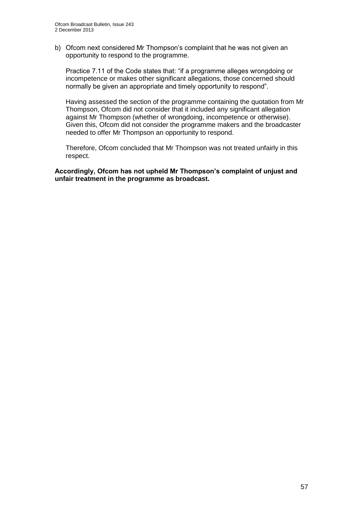b) Ofcom next considered Mr Thompson's complaint that he was not given an opportunity to respond to the programme.

Practice 7.11 of the Code states that: "if a programme alleges wrongdoing or incompetence or makes other significant allegations, those concerned should normally be given an appropriate and timely opportunity to respond".

Having assessed the section of the programme containing the quotation from Mr Thompson, Ofcom did not consider that it included any significant allegation against Mr Thompson (whether of wrongdoing, incompetence or otherwise). Given this, Ofcom did not consider the programme makers and the broadcaster needed to offer Mr Thompson an opportunity to respond.

Therefore, Ofcom concluded that Mr Thompson was not treated unfairly in this respect.

**Accordingly, Ofcom has not upheld Mr Thompson's complaint of unjust and unfair treatment in the programme as broadcast.**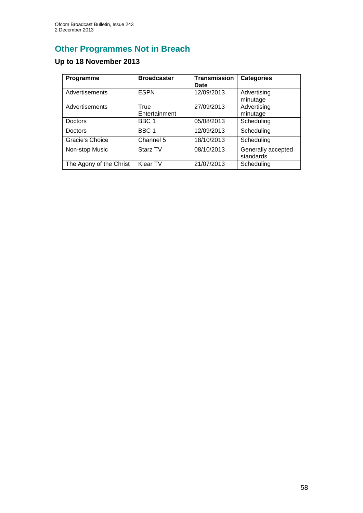# **Other Programmes Not in Breach**

## **Up to 18 November 2013**

| Programme               | <b>Broadcaster</b>    | <b>Transmission</b><br>Date | <b>Categories</b>               |
|-------------------------|-----------------------|-----------------------------|---------------------------------|
| Advertisements          | <b>ESPN</b>           | 12/09/2013                  | Advertising<br>minutage         |
| Advertisements          | True<br>Entertainment | 27/09/2013                  | Advertising<br>minutage         |
| Doctors                 | BBC 1                 | 05/08/2013                  | Scheduling                      |
| Doctors                 | BBC 1                 | 12/09/2013                  | Scheduling                      |
| Gracie's Choice         | Channel 5             | 18/10/2013                  | Scheduling                      |
| Non-stop Music          | Starz TV              | 08/10/2013                  | Generally accepted<br>standards |
| The Agony of the Christ | Klear TV              | 21/07/2013                  | Scheduling                      |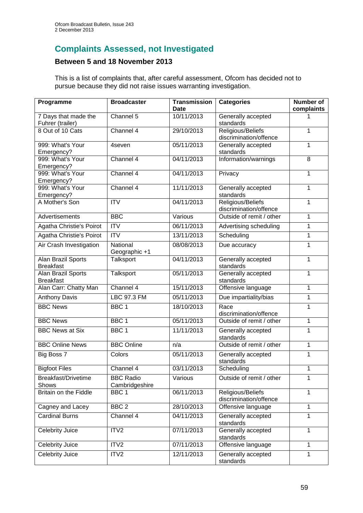## **Complaints Assessed, not Investigated**

## **Between 5 and 18 November 2013**

This is a list of complaints that, after careful assessment, Ofcom has decided not to pursue because they did not raise issues warranting investigation.

| Programme                                | <b>Broadcaster</b>                 | <b>Transmission</b><br>Date | <b>Categories</b>                           | <b>Number of</b><br>complaints |
|------------------------------------------|------------------------------------|-----------------------------|---------------------------------------------|--------------------------------|
| 7 Days that made the<br>Fuhrer (trailer) | Channel 5                          | 10/11/2013                  | Generally accepted<br>standards             |                                |
| 8 Out of 10 Cats                         | Channel 4                          | 29/10/2013                  | Religious/Beliefs<br>discrimination/offence | 1                              |
| 999: What's Your<br>Emergency?           | 4seven                             | 05/11/2013                  | Generally accepted<br>standards             | 1                              |
| 999: What's Your<br>Emergency?           | Channel 4                          | 04/11/2013                  | Information/warnings                        | 8                              |
| 999: What's Your<br>Emergency?           | Channel 4                          | 04/11/2013                  | Privacy                                     | 1                              |
| 999: What's Your<br>Emergency?           | Channel 4                          | 11/11/2013                  | Generally accepted<br>standards             | 1                              |
| A Mother's Son                           | <b>ITV</b>                         | 04/11/2013                  | Religious/Beliefs<br>discrimination/offence | 1                              |
| Advertisements                           | <b>BBC</b>                         | Various                     | Outside of remit / other                    | 1                              |
| Agatha Christie's Poirot                 | <b>ITV</b>                         | 06/11/2013                  | Advertising scheduling                      | 1                              |
| Agatha Christie's Poirot                 | $\overline{ITV}$                   | 13/11/2013                  | Scheduling                                  | 1                              |
| Air Crash Investigation                  | National<br>Geographic +1          | 08/08/2013                  | Due accuracy                                | 1                              |
| Alan Brazil Sports<br><b>Breakfast</b>   | Talksport                          | 04/11/2013                  | Generally accepted<br>standards             | 1                              |
| Alan Brazil Sports<br><b>Breakfast</b>   | Talksport                          | 05/11/2013                  | Generally accepted<br>standards             | 1                              |
| Alan Carr: Chatty Man                    | Channel 4                          | 15/11/2013                  | Offensive language                          | 1                              |
| <b>Anthony Davis</b>                     | <b>LBC 97.3 FM</b>                 | 05/11/2013                  | Due impartiality/bias                       | 1                              |
| <b>BBC News</b>                          | BBC <sub>1</sub>                   | 18/10/2013                  | Race<br>discrimination/offence              | 1                              |
| <b>BBC News</b>                          | BBC <sub>1</sub>                   | 05/11/2013                  | Outside of remit / other                    | 1                              |
| <b>BBC News at Six</b>                   | BBC <sub>1</sub>                   | 11/11/2013                  | Generally accepted<br>standards             | 1                              |
| <b>BBC Online News</b>                   | <b>BBC</b> Online                  | n/a                         | Outside of remit / other                    | 1                              |
| Big Boss 7                               | Colors                             | 05/11/2013                  | Generally accepted<br>standards             | 1                              |
| <b>Bigfoot Files</b>                     | Channel 4                          | 03/11/2013                  | Scheduling                                  | 1                              |
| Breakfast/Drivetime<br>Shows             | <b>BBC Radio</b><br>Cambridgeshire | Various                     | Outside of remit / other                    | 1                              |
| Britain on the Fiddle                    | BBC <sub>1</sub>                   | 06/11/2013                  | Religious/Beliefs<br>discrimination/offence | 1                              |
| Cagney and Lacey                         | BBC <sub>2</sub>                   | 28/10/2013                  | Offensive language                          | 1                              |
| <b>Cardinal Burns</b>                    | Channel 4                          | 04/11/2013                  | Generally accepted<br>standards             | 1                              |
| Celebrity Juice                          | ITV <sub>2</sub>                   | 07/11/2013                  | Generally accepted<br>standards             | 1                              |
| Celebrity Juice                          | ITV <sub>2</sub>                   | 07/11/2013                  | Offensive language                          | $\mathbf{1}$                   |
| Celebrity Juice                          | ITV <sub>2</sub>                   | 12/11/2013                  | Generally accepted<br>standards             | 1                              |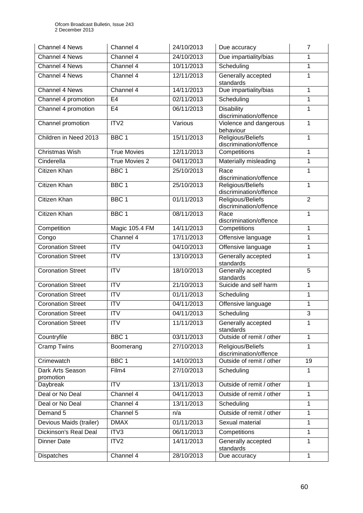| <b>Channel 4 News</b>         | Channel 4          | 24/10/2013 | Due accuracy                                | $\overline{7}$ |
|-------------------------------|--------------------|------------|---------------------------------------------|----------------|
| Channel 4 News                | Channel 4          | 24/10/2013 | Due impartiality/bias                       | 1              |
| <b>Channel 4 News</b>         | Channel 4          | 10/11/2013 | Scheduling                                  | $\overline{1}$ |
| <b>Channel 4 News</b>         | Channel 4          | 12/11/2013 | Generally accepted<br>standards             | 1              |
| <b>Channel 4 News</b>         | Channel 4          | 14/11/2013 | Due impartiality/bias                       | 1              |
| Channel 4 promotion           | E <sub>4</sub>     | 02/11/2013 | Scheduling                                  | 1              |
| Channel 4 promotion           | E <sub>4</sub>     | 06/11/2013 | <b>Disability</b><br>discrimination/offence | 1              |
| Channel promotion             | ITV <sub>2</sub>   | Various    | Violence and dangerous<br>behaviour         | 1              |
| Children in Need 2013         | BBC <sub>1</sub>   | 15/11/2013 | Religious/Beliefs<br>discrimination/offence | 1              |
| <b>Christmas Wish</b>         | <b>True Movies</b> | 12/11/2013 | Competitions                                | 1              |
| Cinderella                    | True Movies 2      | 04/11/2013 | Materially misleading                       | 1              |
| <b>Citizen Khan</b>           | BBC <sub>1</sub>   | 25/10/2013 | Race<br>discrimination/offence              | 1              |
| Citizen Khan                  | BBC <sub>1</sub>   | 25/10/2013 | Religious/Beliefs<br>discrimination/offence | 1              |
| <b>Citizen Khan</b>           | BBC <sub>1</sub>   | 01/11/2013 | Religious/Beliefs<br>discrimination/offence | $\overline{2}$ |
| <b>Citizen Khan</b>           | BBC <sub>1</sub>   | 08/11/2013 | Race<br>discrimination/offence              | 1              |
| Competition                   | Magic 105.4 FM     | 14/11/2013 | Competitions                                | 1              |
| Congo                         | Channel 4          | 17/11/2013 | Offensive language                          | 1              |
| <b>Coronation Street</b>      | <b>ITV</b>         | 04/10/2013 | Offensive language                          | 1              |
| <b>Coronation Street</b>      | <b>ITV</b>         | 13/10/2013 | Generally accepted<br>standards             | 1              |
| <b>Coronation Street</b>      | <b>ITV</b>         | 18/10/2013 | Generally accepted<br>standards             | 5              |
| <b>Coronation Street</b>      | $\overline{IV}$    | 21/10/2013 | Suicide and self harm                       | 1              |
| <b>Coronation Street</b>      | <b>ITV</b>         | 01/11/2013 | Scheduling                                  | 1              |
| <b>Coronation Street</b>      | <b>ITV</b>         | 04/11/2013 | Offensive language                          | 1              |
| <b>Coronation Street</b>      | <b>ITV</b>         | 04/11/2013 | Scheduling                                  | 3              |
| <b>Coronation Street</b>      | <b>ITV</b>         | 11/11/2013 | Generally accepted<br>standards             | 1              |
| Countryfile                   | BBC <sub>1</sub>   | 03/11/2013 | Outside of remit / other                    | 1              |
| <b>Cramp Twins</b>            | Boomerang          | 27/10/2013 | Religious/Beliefs<br>discrimination/offence | 1              |
| Crimewatch                    | BBC <sub>1</sub>   | 14/10/2013 | Outside of remit / other                    | 19             |
| Dark Arts Season<br>promotion | Film4              | 27/10/2013 | Scheduling                                  | 1              |
| Daybreak                      | $\overline{ITV}$   | 13/11/2013 | Outside of remit / other                    | 1              |
| Deal or No Deal               | Channel 4          | 04/11/2013 | Outside of remit / other                    | 1              |
| Deal or No Deal               | Channel 4          | 13/11/2013 | Scheduling                                  | 1              |
| Demand 5                      | Channel 5          | n/a        | Outside of remit / other                    | 1              |
| Devious Maids (trailer)       | <b>DMAX</b>        | 01/11/2013 | Sexual material                             | 1              |
| Dickinson's Real Deal         | ITV3               | 06/11/2013 | Competitions                                | 1              |
| <b>Dinner Date</b>            | ITV <sub>2</sub>   | 14/11/2013 | Generally accepted<br>standards             | 1              |
| Dispatches                    | Channel 4          | 28/10/2013 | Due accuracy                                | 1              |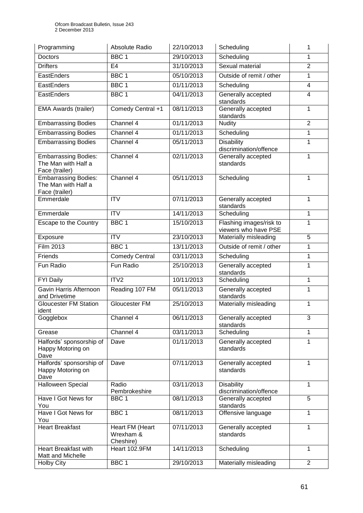| Programming                                                          | Absolute Radio                            | 22/10/2013 | Scheduling                                      | 1              |
|----------------------------------------------------------------------|-------------------------------------------|------------|-------------------------------------------------|----------------|
| <b>Doctors</b>                                                       | BBC <sub>1</sub>                          | 29/10/2013 | Scheduling                                      | 1              |
| <b>Drifters</b>                                                      | E <sub>4</sub>                            | 31/10/2013 | Sexual material                                 | $\overline{2}$ |
| EastEnders                                                           | BBC <sub>1</sub>                          | 05/10/2013 | Outside of remit / other                        | 1              |
| EastEnders                                                           | BBC <sub>1</sub>                          | 01/11/2013 | Scheduling                                      | 4              |
| EastEnders                                                           | BBC <sub>1</sub>                          | 04/11/2013 | Generally accepted<br>standards                 | 4              |
| <b>EMA Awards (trailer)</b>                                          | Comedy Central +1                         | 08/11/2013 | Generally accepted<br>standards                 | 1              |
| <b>Embarrassing Bodies</b>                                           | Channel 4                                 | 01/11/2013 | <b>Nudity</b>                                   | $\overline{2}$ |
| <b>Embarrassing Bodies</b>                                           | Channel 4                                 | 01/11/2013 | Scheduling                                      | 1              |
| <b>Embarrassing Bodies</b>                                           | Channel 4                                 | 05/11/2013 | <b>Disability</b><br>discrimination/offence     | 1              |
| <b>Embarrassing Bodies:</b><br>The Man with Half a<br>Face (trailer) | Channel 4                                 | 02/11/2013 | Generally accepted<br>standards                 | 1              |
| <b>Embarrassing Bodies:</b><br>The Man with Half a<br>Face (trailer) | Channel 4                                 | 05/11/2013 | Scheduling                                      | 1              |
| Emmerdale                                                            | $\overline{\text{IV}}$                    | 07/11/2013 | Generally accepted<br>standards                 | 1              |
| Emmerdale                                                            | $\overline{\text{IV}}$                    | 14/11/2013 | Scheduling                                      | 1              |
| Escape to the Country                                                | BBC <sub>1</sub>                          | 15/10/2013 | Flashing images/risk to<br>viewers who have PSE | 1              |
| Exposure                                                             | <b>ITV</b>                                | 23/10/2013 | Materially misleading                           | 5              |
| <b>Film 2013</b>                                                     | BBC <sub>1</sub>                          | 13/11/2013 | Outside of remit / other                        | 1              |
| Friends                                                              | <b>Comedy Central</b>                     | 03/11/2013 | Scheduling                                      | 1              |
| Fun Radio                                                            | Fun Radio                                 | 25/10/2013 | Generally accepted<br>standards                 | 1              |
| <b>FYI Daily</b>                                                     | ITV2                                      | 10/11/2013 | Scheduling                                      | 1              |
| Gavin Harris Afternoon<br>and Drivetime                              | Reading 107 FM                            | 05/11/2013 | Generally accepted<br>standards                 | 1              |
| <b>Gloucester FM Station</b><br>ident                                | Gloucester FM                             | 25/10/2013 | Materially misleading                           | 1              |
| Gogglebox                                                            | Channel 4                                 | 06/11/2013 | Generally accepted<br>standards                 | 3              |
| Grease                                                               | Channel 4                                 | 03/11/2013 | Scheduling                                      | 1              |
| Halfords' sponsorship of<br>Happy Motoring on<br>Dave                | Dave                                      | 01/11/2013 | Generally accepted<br>standards                 | 1              |
| Halfords' sponsorship of<br>Happy Motoring on<br>Dave                | Dave                                      | 07/11/2013 | Generally accepted<br>standards                 | 1              |
| <b>Halloween Special</b>                                             | Radio<br>Pembrokeshire                    | 03/11/2013 | <b>Disability</b><br>discrimination/offence     | 1              |
| Have I Got News for<br>You                                           | BBC <sub>1</sub>                          | 08/11/2013 | Generally accepted<br>standards                 | 5              |
| Have I Got News for<br>You                                           | $BBC \overline{1}$                        | 08/11/2013 | Offensive language                              | 1              |
| <b>Heart Breakfast</b>                                               | Heart FM (Heart<br>Wrexham &<br>Cheshire) | 07/11/2013 | Generally accepted<br>standards                 | 1              |
| <b>Heart Breakfast with</b><br>Matt and Michelle                     | Heart 102.9FM                             | 14/11/2013 | Scheduling                                      | 1              |
| <b>Holby City</b>                                                    | BBC <sub>1</sub>                          | 29/10/2013 | Materially misleading                           | $\overline{2}$ |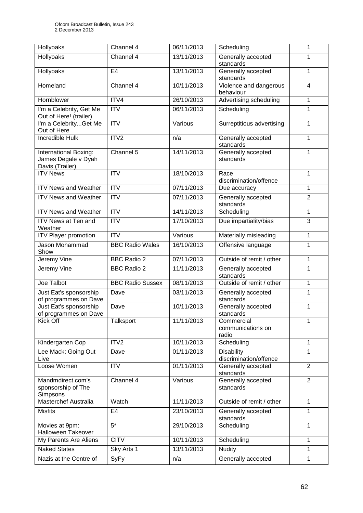| Hollyoaks                                                       | Channel 4               | 06/11/2013 | Scheduling                                  | 1              |
|-----------------------------------------------------------------|-------------------------|------------|---------------------------------------------|----------------|
| Hollyoaks                                                       | Channel 4               | 13/11/2013 | Generally accepted<br>standards             | 1              |
| Hollyoaks                                                       | E <sub>4</sub>          | 13/11/2013 | Generally accepted<br>standards             | 1              |
| Homeland                                                        | Channel 4               | 10/11/2013 | Violence and dangerous<br>behaviour         | 4              |
| Hornblower                                                      | ITV4                    | 26/10/2013 | Advertising scheduling                      | 1              |
| I'm a Celebrity, Get Me<br>Out of Here! (trailer)               | <b>ITV</b>              | 06/11/2013 | Scheduling                                  | 1              |
| I'm a CelebrityGet Me<br>Out of Here                            | $\overline{\text{ITV}}$ | Various    | Surreptitious advertising                   | 1              |
| Incredible Hulk                                                 | ITV2                    | n/a        | Generally accepted<br>standards             | 1              |
| International Boxing:<br>James Degale v Dyah<br>Davis (Trailer) | Channel 5               | 14/11/2013 | Generally accepted<br>standards             | 1              |
| <b>ITV News</b>                                                 | $\overline{\text{ITV}}$ | 18/10/2013 | Race<br>discrimination/offence              | 1              |
| <b>ITV News and Weather</b>                                     | $\overline{ITV}$        | 07/11/2013 | Due accuracy                                | 1              |
| <b>ITV News and Weather</b>                                     | $\overline{ITV}$        | 07/11/2013 | Generally accepted<br>standards             | $\overline{2}$ |
| <b>ITV News and Weather</b>                                     | <b>ITV</b>              | 14/11/2013 | Scheduling                                  | 1              |
| ITV News at Ten and<br>Weather                                  | $\overline{\text{ITV}}$ | 17/10/2013 | Due impartiality/bias                       | 3              |
| <b>ITV Player promotion</b>                                     | <b>ITV</b>              | Various    | Materially misleading                       | 1              |
| Jason Mohammad<br>Show                                          | <b>BBC Radio Wales</b>  | 16/10/2013 | Offensive language                          | 1              |
| Jeremy Vine                                                     | <b>BBC Radio 2</b>      | 07/11/2013 | Outside of remit / other                    | 1              |
| <b>Jeremy Vine</b>                                              | <b>BBC Radio 2</b>      | 11/11/2013 | Generally accepted<br>standards             | 1              |
| Joe Talbot                                                      | <b>BBC Radio Sussex</b> | 08/11/2013 | Outside of remit / other                    | 1              |
| Just Eat's sponsorship<br>of programmes on Dave                 | Dave                    | 03/11/2013 | Generally accepted<br>standards             | 1              |
| Just Eat's sponsorship<br>of programmes on Dave                 | Dave                    | 10/11/2013 | Generally accepted<br>standards             | 1              |
| Kick Off                                                        | Talksport               | 11/11/2013 | Commercial<br>communications on<br>radio    | 1              |
| Kindergarten Cop                                                | ITV2                    | 10/11/2013 | Scheduling                                  | 1              |
| Lee Mack: Going Out<br>Live                                     | Dave                    | 01/11/2013 | <b>Disability</b><br>discrimination/offence | 1              |
| Loose Women                                                     | <b>ITV</b>              | 01/11/2013 | Generally accepted<br>standards             | $\overline{2}$ |
| Mandmdirect.com's<br>sponsorship of The<br>Simpsons             | Channel 4               | Various    | Generally accepted<br>standards             | $\overline{2}$ |
| <b>Masterchef Australia</b>                                     | Watch                   | 11/11/2013 | Outside of remit / other                    | 1              |
| <b>Misfits</b>                                                  | E <sub>4</sub>          | 23/10/2013 | Generally accepted<br>standards             | 1              |
| Movies at 9pm:<br><b>Halloween Takeover</b>                     | $5*$                    | 29/10/2013 | Scheduling                                  | 1              |
| My Parents Are Aliens                                           | <b>CITV</b>             | 10/11/2013 | Scheduling                                  | 1              |
| <b>Naked States</b>                                             | Sky Arts 1              | 13/11/2013 | <b>Nudity</b>                               | 1              |
| Nazis at the Centre of                                          | SyFy                    | n/a        | Generally accepted                          | 1              |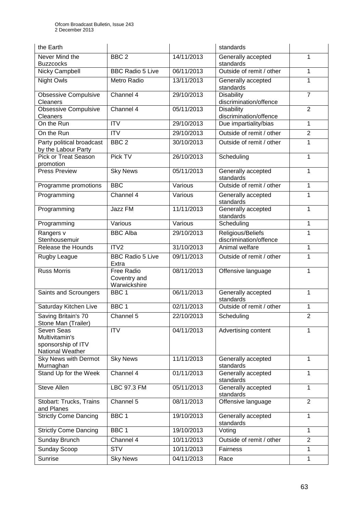| the Earth                                                              |                                                   |                          | standards                                                     |                |
|------------------------------------------------------------------------|---------------------------------------------------|--------------------------|---------------------------------------------------------------|----------------|
| Never Mind the<br><b>Buzzcocks</b>                                     | BBC <sub>2</sub>                                  | 14/11/2013               | Generally accepted<br>standards                               | 1              |
| Nicky Campbell                                                         | <b>BBC Radio 5 Live</b>                           | 06/11/2013               | Outside of remit / other                                      | 1              |
| <b>Night Owls</b>                                                      | Metro Radio                                       | 13/11/2013               | Generally accepted<br>standards                               | 1              |
| <b>Obsessive Compulsive</b><br><b>Cleaners</b>                         | Channel 4                                         | 29/10/2013               | <b>Disability</b><br>discrimination/offence                   | $\overline{7}$ |
| <b>Obsessive Compulsive</b><br>Cleaners                                | Channel 4                                         | 05/11/2013               | $\overline{2}$<br><b>Disability</b><br>discrimination/offence |                |
| On the Run                                                             | $\overline{\text{ITV}}$                           | 29/10/2013               | Due impartiality/bias                                         | 1              |
| On the Run                                                             | <b>ITV</b>                                        | 29/10/2013               | $\overline{2}$<br>Outside of remit / other                    |                |
| Party political broadcast<br>by the Labour Party                       | BBC <sub>2</sub>                                  | 30/10/2013               | Outside of remit / other                                      | 1              |
| <b>Pick or Treat Season</b><br>promotion                               | Pick TV                                           | 26/10/2013               | Scheduling                                                    | 1              |
| <b>Press Preview</b>                                                   | <b>Sky News</b>                                   | 05/11/2013               | Generally accepted<br>1<br>standards                          |                |
| Programme promotions                                                   | <b>BBC</b>                                        | Various                  | Outside of remit / other                                      | 1              |
| Programming                                                            | Channel 4                                         | Various                  | Generally accepted<br>1<br>standards                          |                |
| Programming                                                            | Jazz FM                                           | 11/11/2013               | Generally accepted<br>1<br>standards                          |                |
| Programming                                                            | Various                                           | Various                  | Scheduling                                                    | 1              |
| Rangers v<br>Stenhousemuir                                             | <b>BBC Alba</b>                                   | 29/10/2013               | Religious/Beliefs<br>discrimination/offence                   | 1              |
| <b>Release the Hounds</b>                                              | ITV <sub>2</sub>                                  | 31/10/2013               | Animal welfare                                                | 1              |
| Rugby League                                                           | <b>BBC Radio 5 Live</b><br>Extra                  | 09/11/2013               | Outside of remit / other                                      | 1              |
| <b>Russ Morris</b>                                                     | <b>Free Radio</b><br>Coventry and<br>Warwickshire | 08/11/2013               | Offensive language                                            | 1              |
| Saints and Scroungers                                                  | BBC <sub>1</sub>                                  | 06/11/2013               | Generally accepted<br>standards                               | 1              |
| Saturday Kitchen Live                                                  | BBC <sub>1</sub>                                  | 02/11/2013               | Outside of remit / other                                      | 1              |
| Saving Britain's 70<br>Stone Man (Trailer)                             | Channel 5                                         | 22/10/2013               | Scheduling                                                    | $\overline{2}$ |
| Seven Seas<br>Multivitamin's<br>sponsorship of ITV<br>National Weather | <b>ITV</b>                                        | 04/11/2013               | Advertising content                                           | 1              |
| <b>Sky News with Dermot</b><br>Murnaghan                               | <b>Sky News</b>                                   | 11/11/2013               | Generally accepted                                            | 1              |
| Stand Up for the Week                                                  |                                                   |                          | standards                                                     |                |
|                                                                        | Channel 4                                         | 01/11/2013               | Generally accepted<br>standards                               | 1              |
| Steve Allen                                                            | LBC 97.3 FM                                       | 05/11/2013               | Generally accepted<br>standards                               | 1              |
| Stobart: Trucks, Trains<br>and Planes                                  | Channel 5                                         | 08/11/2013               | Offensive language                                            | $\overline{2}$ |
| <b>Strictly Come Dancing</b>                                           | BBC <sub>1</sub>                                  | 19/10/2013               | Generally accepted<br>standards                               | 1              |
| <b>Strictly Come Dancing</b>                                           | BBC <sub>1</sub>                                  | 19/10/2013               | Voting                                                        | 1              |
| Sunday Brunch                                                          | Channel 4                                         | 10/11/2013               | Outside of remit / other                                      | $\overline{2}$ |
| Sunday Scoop<br>Sunrise                                                | <b>STV</b><br><b>Sky News</b>                     | 10/11/2013<br>04/11/2013 | Fairness<br>Race                                              | 1              |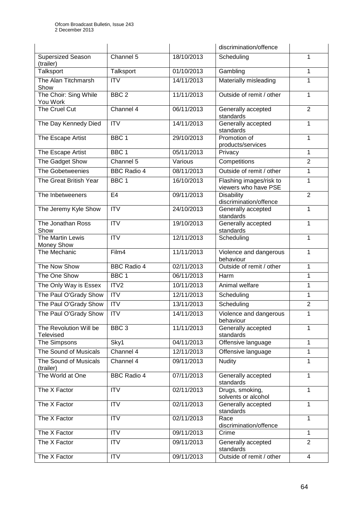|                                            |                         |            | discrimination/offence                                        |                |
|--------------------------------------------|-------------------------|------------|---------------------------------------------------------------|----------------|
| Supersized Season<br>(trailer)             | Channel 5               | 18/10/2013 | Scheduling                                                    | 1              |
| Talksport                                  | Talksport               | 01/10/2013 | Gambling                                                      | 1              |
| The Alan Titchmarsh<br>Show                | <b>ITV</b>              | 14/11/2013 | Materially misleading                                         | 1              |
| The Choir: Sing While<br>You Work          | BBC <sub>2</sub>        | 11/11/2013 | Outside of remit / other                                      | 1              |
| The Cruel Cut                              | Channel 4               | 06/11/2013 | $\overline{2}$<br>Generally accepted<br>standards             |                |
| The Day Kennedy Died                       | <b>ITV</b>              | 14/11/2013 | 1<br>Generally accepted<br>standards                          |                |
| The Escape Artist                          | BBC <sub>1</sub>        | 29/10/2013 | Promotion of<br>1<br>products/services                        |                |
| The Escape Artist                          | BBC <sub>1</sub>        | 05/11/2013 | Privacy                                                       |                |
| The Gadget Show                            | Channel 5               | Various    | Competitions                                                  | $\overline{2}$ |
| The Gobetweenies                           | <b>BBC Radio 4</b>      | 08/11/2013 | Outside of remit / other                                      | 1              |
| The Great British Year                     | BBC <sub>1</sub>        | 16/10/2013 | Flashing images/risk to<br>1<br>viewers who have PSE          |                |
| The Inbetweeners                           | E <sub>4</sub>          | 09/11/2013 | <b>Disability</b><br>$\overline{2}$<br>discrimination/offence |                |
| The Jeremy Kyle Show                       | <b>ITV</b>              | 24/10/2013 | 1<br>Generally accepted<br>standards                          |                |
| The Jonathan Ross<br>Show                  | <b>ITV</b>              | 19/10/2013 | Generally accepted<br>standards                               | 1              |
| The Martin Lewis<br>Money Show             | <b>ITV</b>              | 12/11/2013 | Scheduling                                                    | 1              |
| The Mechanic                               | Film4                   | 11/11/2013 | Violence and dangerous<br>behaviour                           | 1              |
| The Now Show                               | <b>BBC Radio 4</b>      | 02/11/2013 | Outside of remit / other                                      | 1              |
| The One Show                               | BBC <sub>1</sub>        | 06/11/2013 | Harm                                                          | 1              |
| The Only Way is Essex                      | ITV2                    | 10/11/2013 | Animal welfare                                                | 1              |
| The Paul O'Grady Show                      | $\overline{ITV}$        | 12/11/2013 | Scheduling                                                    | 1              |
| The Paul O'Grady Show                      | $\overline{\text{ITV}}$ | 13/11/2013 | Scheduling                                                    | $\overline{2}$ |
| The Paul O'Grady Show                      | $\overline{\text{IV}}$  | 14/11/2013 | Violence and dangerous<br>behaviour                           | 1              |
| The Revolution Will be<br><b>Televised</b> | BBC <sub>3</sub>        | 11/11/2013 | Generally accepted<br>1<br>standards                          |                |
| The Simpsons                               | Sky1                    | 04/11/2013 | Offensive language                                            | 1              |
| The Sound of Musicals                      | Channel 4               | 12/11/2013 | Offensive language                                            | 1              |
| The Sound of Musicals<br>(trailer)         | Channel 4               | 09/11/2013 | <b>Nudity</b>                                                 | 1              |
| The World at One                           | <b>BBC Radio 4</b>      | 07/11/2013 | Generally accepted<br>standards                               | 1              |
| The X Factor                               | <b>ITV</b>              | 02/11/2013 | Drugs, smoking,<br>solvents or alcohol                        | 1              |
| The X Factor                               | $\overline{\text{ITV}}$ | 02/11/2013 | Generally accepted<br>1<br>standards                          |                |
| The X Factor                               | <b>ITV</b>              | 02/11/2013 | Race<br>discrimination/offence                                | 1              |
| The X Factor                               | <b>ITV</b>              | 09/11/2013 | Crime                                                         | 1              |
| The X Factor                               | <b>ITV</b>              | 09/11/2013 | Generally accepted<br>standards                               | $\overline{2}$ |
| The X Factor                               | <b>ITV</b>              | 09/11/2013 | Outside of remit / other                                      | 4              |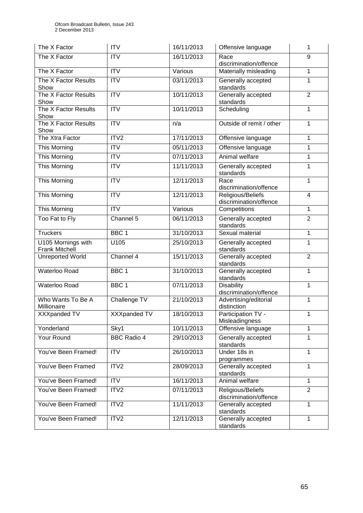| The X Factor                                | <b>ITV</b>             | 16/11/2013 | Offensive language                                            | 1              |
|---------------------------------------------|------------------------|------------|---------------------------------------------------------------|----------------|
| The X Factor                                | <b>ITV</b>             | 16/11/2013 | Race                                                          | 9              |
|                                             |                        |            | discrimination/offence                                        |                |
| The X Factor                                | $\overline{IV}$        | Various    | Materially misleading                                         | 1              |
| The X Factor Results<br>Show                | <b>ITV</b>             | 03/11/2013 | Generally accepted<br>standards                               | 1              |
| The X Factor Results<br>Show                | $\overline{IV}$        | 10/11/2013 | Generally accepted<br>standards                               | $\overline{2}$ |
| The X Factor Results<br>Show                | <b>ITV</b>             | 10/11/2013 | Scheduling<br>1                                               |                |
| The X Factor Results<br>Show                | $\overline{IV}$        | n/a        | Outside of remit / other<br>1                                 |                |
| The Xtra Factor                             | ITV2                   | 17/11/2013 | Offensive language                                            | 1              |
| This Morning                                | <b>ITV</b>             | 05/11/2013 | Offensive language                                            | 1              |
| This Morning                                | <b>ITV</b>             | 07/11/2013 | Animal welfare<br>1                                           |                |
| <b>This Morning</b>                         | $\overline{\text{IV}}$ | 11/11/2013 | 1<br>Generally accepted<br>standards                          |                |
| This Morning                                | $\overline{ITV}$       | 12/11/2013 | 1<br>Race<br>discrimination/offence                           |                |
| This Morning                                | <b>ITV</b>             | 12/11/2013 | Religious/Beliefs<br>4<br>discrimination/offence              |                |
| This Morning                                | $\overline{IV}$        | Various    | Competitions                                                  | 1              |
| Too Fat to Fly                              | Channel 5              | 06/11/2013 | Generally accepted<br>standards                               | $\overline{2}$ |
| <b>Truckers</b>                             | BBC <sub>1</sub>       | 31/10/2013 | Sexual material                                               | 1              |
| U105 Mornings with<br><b>Frank Mitchell</b> | U105                   | 25/10/2013 | Generally accepted<br>standards                               | 1              |
| <b>Unreported World</b>                     | Channel 4              | 15/11/2013 | Generally accepted<br>standards                               | $\overline{2}$ |
| <b>Waterloo Road</b>                        | BBC <sub>1</sub>       | 31/10/2013 | Generally accepted<br>1<br>standards                          |                |
| Waterloo Road                               | BBC <sub>1</sub>       | 07/11/2013 | <b>Disability</b><br>1<br>discrimination/offence              |                |
| Who Wants To Be A<br>Millionaire            | Challenge TV           | 21/10/2013 | Advertising/editorial<br>1<br>distinction                     |                |
| XXXpanded TV                                | XXXpanded TV           | 18/10/2013 | Participation TV -<br>Misleadingness                          | 1              |
| Yonderland                                  | Sky1                   | 10/11/2013 | Offensive language                                            | 1              |
| Your Round                                  | <b>BBC Radio 4</b>     | 29/10/2013 | Generally accepted<br>standards                               | 1              |
| You've Been Framed!                         | <b>ITV</b>             | 26/10/2013 | Under 18s in<br>programmes                                    | 1              |
| You've Been Framed                          | ITV <sub>2</sub>       | 28/09/2013 | Generally accepted<br>standards                               | $\mathbf{1}$   |
| You've Been Framed!                         | <b>ITV</b>             | 16/11/2013 | Animal welfare                                                | 1              |
| You've Been Framed!                         | ITV2                   | 07/11/2013 | $\overline{2}$<br>Religious/Beliefs<br>discrimination/offence |                |
| You've Been Framed!                         | ITV2                   | 11/11/2013 | Generally accepted<br>1<br>standards                          |                |
| You've Been Framed!                         | ITV2                   | 12/11/2013 | Generally accepted<br>standards                               | 1              |